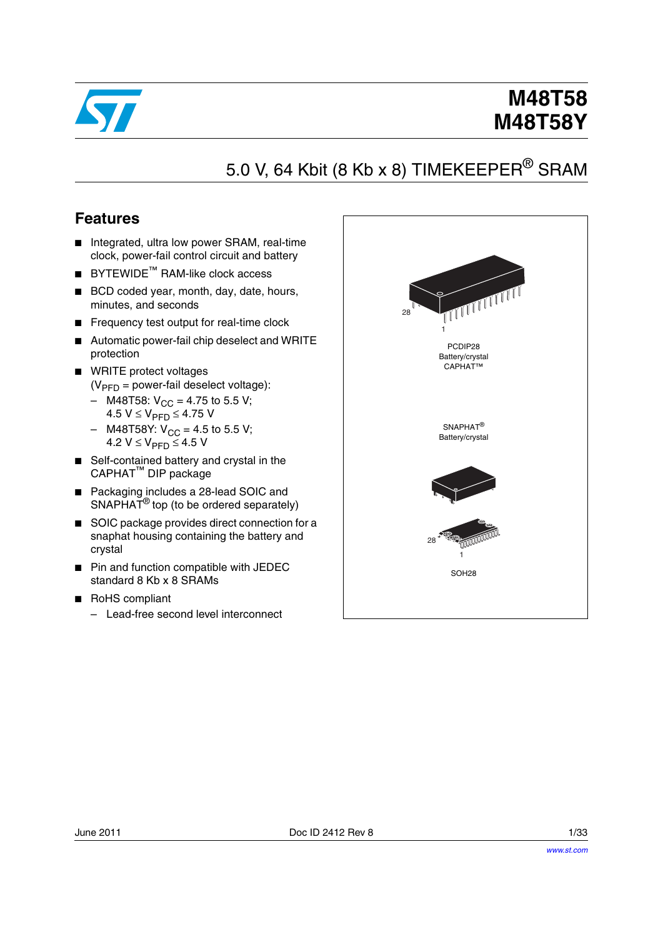

# **M48T58 M48T58Y**

# 5.0 V, 64 Kbit (8 Kb x 8) TIMEKEEPER<sup>®</sup> SRAM

## **Features**

- Integrated, ultra low power SRAM, real-time clock, power-fail control circuit and battery
- BYTEWIDE<sup>™</sup> RAM-like clock access
- BCD coded year, month, day, date, hours, minutes, and seconds
- Frequency test output for real-time clock
- Automatic power-fail chip deselect and WRITE protection
- WRITE protect voltages  $(V_{\text{PFD}} =$  power-fail deselect voltage):
	- M48T58:  $V_{CC}$  = 4.75 to 5.5 V; 4.5  $V$  ≤  $V_{\text{PFD}}$  ≤ 4.75 V
	- $-$  M48T58Y:  $V_{CC} = 4.5$  to 5.5 V; 4.2  $V$  ≤  $V_{\text{PFD}}$  ≤ 4.5 V
- Self-contained battery and crystal in the CAPHAT™ DIP package
- Packaging includes a 28-lead SOIC and SNAPHAT<sup>®</sup> top (to be ordered separately)
- SOIC package provides direct connection for a snaphat housing containing the battery and crystal
- Pin and function compatible with JEDEC standard 8 Kb x 8 SRAMs
- RoHS compliant
	- Lead-free second level interconnect

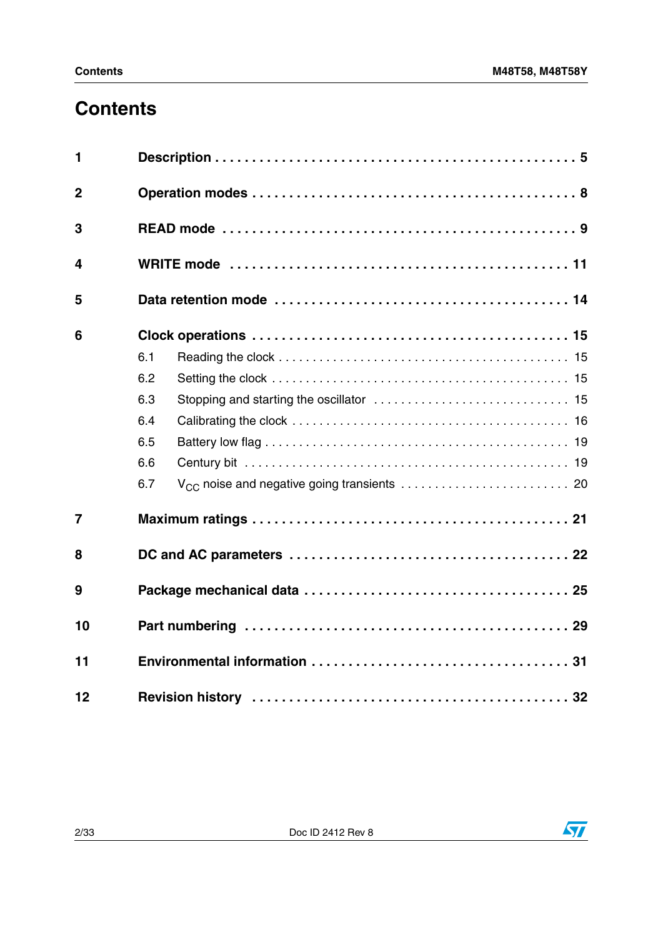# **Contents**

| 1              |     |  |  |  |  |  |  |  |  |
|----------------|-----|--|--|--|--|--|--|--|--|
| $\overline{2}$ |     |  |  |  |  |  |  |  |  |
| 3              |     |  |  |  |  |  |  |  |  |
| 4              |     |  |  |  |  |  |  |  |  |
| 5              |     |  |  |  |  |  |  |  |  |
| 6              |     |  |  |  |  |  |  |  |  |
|                | 6.1 |  |  |  |  |  |  |  |  |
|                | 6.2 |  |  |  |  |  |  |  |  |
|                | 6.3 |  |  |  |  |  |  |  |  |
|                | 6.4 |  |  |  |  |  |  |  |  |
|                | 6.5 |  |  |  |  |  |  |  |  |
|                | 6.6 |  |  |  |  |  |  |  |  |
|                | 6.7 |  |  |  |  |  |  |  |  |
| $\overline{7}$ |     |  |  |  |  |  |  |  |  |
| 8              |     |  |  |  |  |  |  |  |  |
| 9              |     |  |  |  |  |  |  |  |  |
| 10             |     |  |  |  |  |  |  |  |  |
| 11             |     |  |  |  |  |  |  |  |  |
| 12             |     |  |  |  |  |  |  |  |  |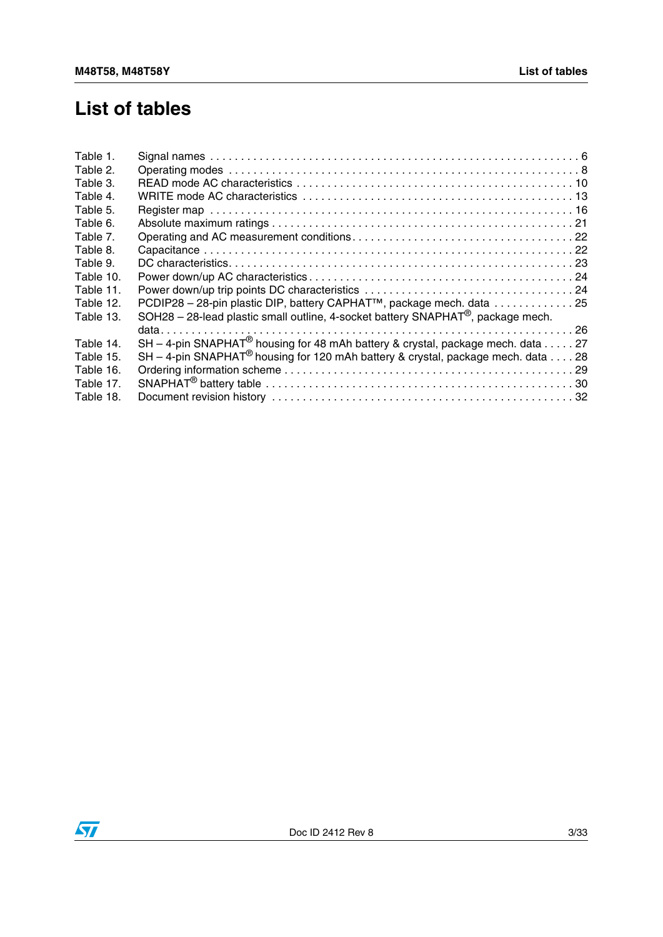## **List of tables**

| Table 1.  |                                                                                              |
|-----------|----------------------------------------------------------------------------------------------|
| Table 2.  |                                                                                              |
| Table 3.  |                                                                                              |
| Table 4.  |                                                                                              |
| Table 5.  |                                                                                              |
| Table 6.  |                                                                                              |
| Table 7.  |                                                                                              |
| Table 8.  |                                                                                              |
| Table 9.  |                                                                                              |
| Table 10. |                                                                                              |
| Table 11. |                                                                                              |
| Table 12. | PCDIP28 - 28-pin plastic DIP, battery CAPHAT <sup>™</sup> , package mech. data 25            |
| Table 13. | SOH28 - 28-lead plastic small outline, 4-socket battery SNAPHAT <sup>®</sup> , package mech. |
|           |                                                                                              |
| Table 14. | SH - 4-pin SNAPHAT <sup>®</sup> housing for 48 mAh battery & crystal, package mech. data 27  |
| Table 15. | SH - 4-pin SNAPHAT <sup>®</sup> housing for 120 mAh battery & crystal, package mech. data 28 |
| Table 16. |                                                                                              |
| Table 17. |                                                                                              |
| Table 18. |                                                                                              |
|           |                                                                                              |

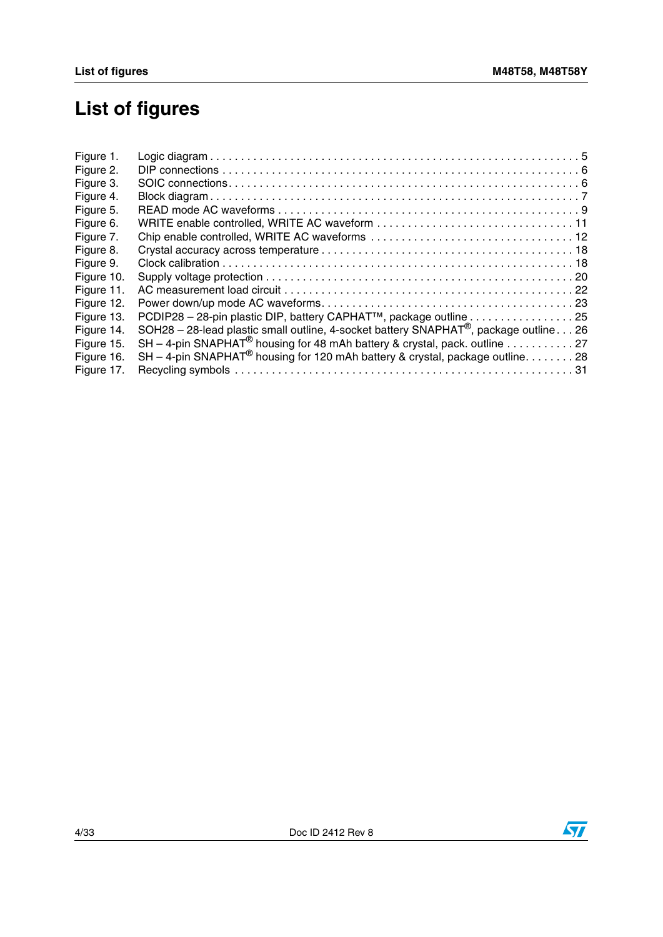# **List of figures**

| Figure 1.  |                                                                                                   |  |
|------------|---------------------------------------------------------------------------------------------------|--|
| Figure 2.  |                                                                                                   |  |
| Figure 3.  |                                                                                                   |  |
| Figure 4.  |                                                                                                   |  |
| Figure 5.  |                                                                                                   |  |
| Figure 6.  |                                                                                                   |  |
| Figure 7.  |                                                                                                   |  |
| Figure 8.  |                                                                                                   |  |
| Figure 9.  |                                                                                                   |  |
| Figure 10. |                                                                                                   |  |
| Figure 11. |                                                                                                   |  |
| Figure 12. |                                                                                                   |  |
| Figure 13. | PCDIP28 - 28-pin plastic DIP, battery CAPHAT <sup>™</sup> , package outline 25                    |  |
| Figure 14. | SOH28 - 28-lead plastic small outline, 4-socket battery SNAPHAT <sup>®</sup> , package outline 26 |  |
| Figure 15. | SH - 4-pin SNAPHAT <sup>®</sup> housing for 48 mAh battery & crystal, pack. outline 27            |  |
| Figure 16. | SH - 4-pin SNAPHAT <sup>®</sup> housing for 120 mAh battery & crystal, package outline. 28        |  |
| Figure 17. |                                                                                                   |  |
|            |                                                                                                   |  |

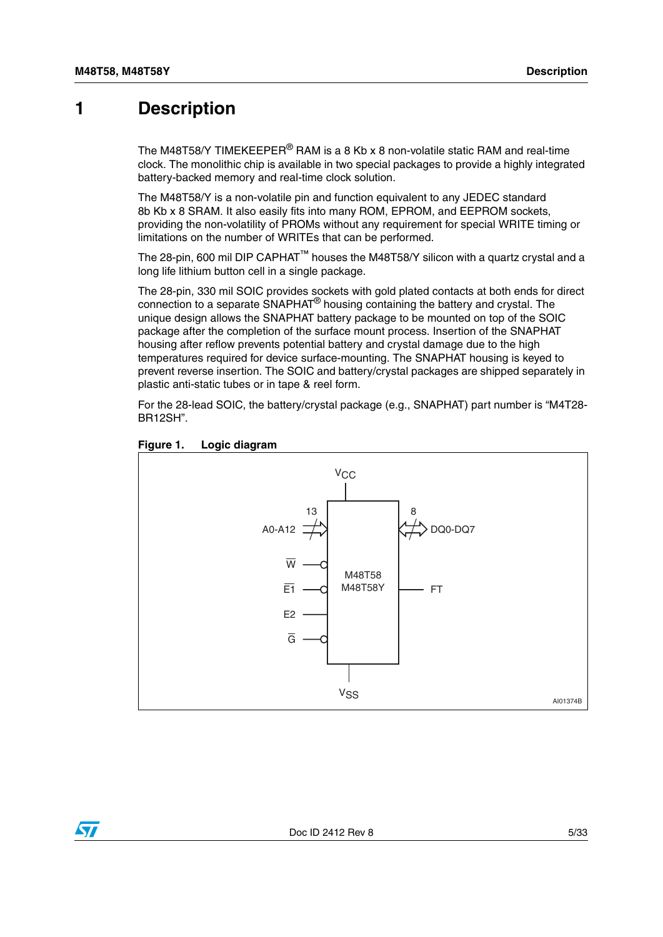## <span id="page-4-0"></span>**1 Description**

The M48T58/Y TIMEKEEPER® RAM is a 8 Kb x 8 non-volatile static RAM and real-time clock. The monolithic chip is available in two special packages to provide a highly integrated battery-backed memory and real-time clock solution.

The M48T58/Y is a non-volatile pin and function equivalent to any JEDEC standard 8b Kb x 8 SRAM. It also easily fits into many ROM, EPROM, and EEPROM sockets, providing the non-volatility of PROMs without any requirement for special WRITE timing or limitations on the number of WRITEs that can be performed.

The 28-pin, 600 mil DIP CAPHAT™ houses the M48T58/Y silicon with a quartz crystal and a long life lithium button cell in a single package.

The 28-pin, 330 mil SOIC provides sockets with gold plated contacts at both ends for direct connection to a separate SNAPHAT® housing containing the battery and crystal. The unique design allows the SNAPHAT battery package to be mounted on top of the SOIC package after the completion of the surface mount process. Insertion of the SNAPHAT housing after reflow prevents potential battery and crystal damage due to the high temperatures required for device surface-mounting. The SNAPHAT housing is keyed to prevent reverse insertion. The SOIC and battery/crystal packages are shipped separately in plastic anti-static tubes or in tape & reel form.

For the 28-lead SOIC, the battery/crystal package (e.g., SNAPHAT) part number is "M4T28- BR12SH".



#### <span id="page-4-1"></span>**Figure 1. Logic diagram**

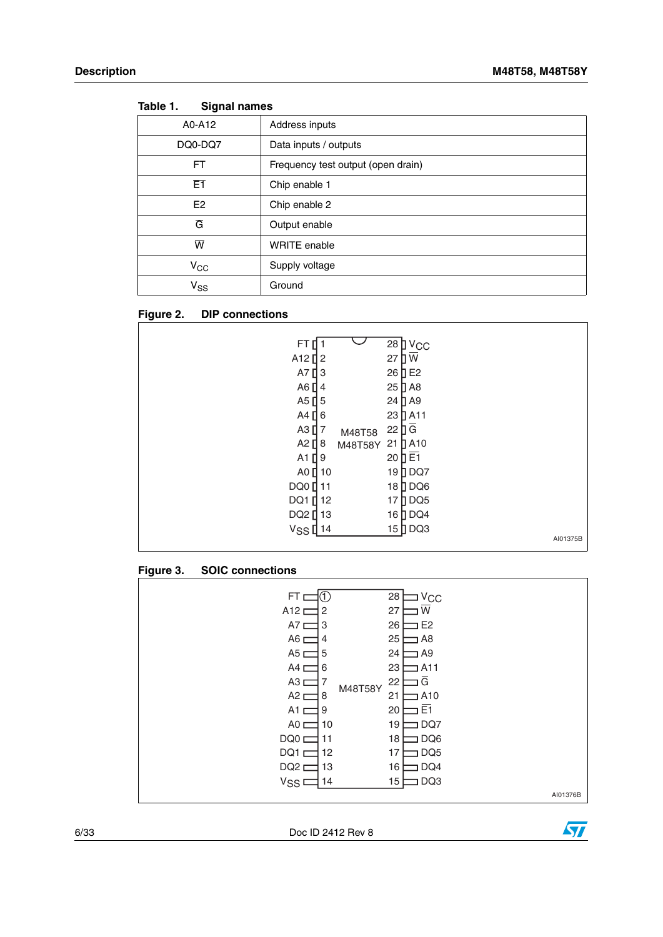| .<br><u>oighan hannoo</u> |                                    |
|---------------------------|------------------------------------|
| A0-A12                    | Address inputs                     |
| DQ0-DQ7                   | Data inputs / outputs              |
| FT                        | Frequency test output (open drain) |
| E1                        | Chip enable 1                      |
| E <sub>2</sub>            | Chip enable 2                      |
| $\overline{G}$            | Output enable                      |
| $\overline{\mathsf{w}}$   | <b>WRITE</b> enable                |
| $V_{\rm CC}$              | Supply voltage                     |
| $V_{SS}$                  | Ground                             |

<span id="page-5-0"></span>**Table 1. Signal names**

### <span id="page-5-1"></span>**Figure 2. DIP connections**

| FT<br>A <sub>12</sub> $12$<br>A7 [<br>A6<br>A5 $\prod$ 5<br>A4<br>$A3$ [ $\overline{)7}$<br>A2 $[$ 8<br>$A1$ <sup>[]</sup><br>A0 $\prod$ 10<br>DQ0<br>DQ1 [<br>DQ2 [ 13<br>V <sub>SS</sub> [14 | 3<br>4<br>П6<br>9<br>11<br>12 | M48T58<br>M48T58Y | 28 J V <sub>CC</sub><br>27<br>W<br>IEE<br>26<br>$25$ $\Box$ A8<br>24 T A9<br>23   A11<br>Ⅱā<br>22<br>$\sqrt{ }$ A10<br>21<br>20 $\overline{E1}$<br>19 <b>DQ7</b><br>18 DQ6<br>DQ <sub>5</sub><br>17<br>$\Box$ DQ4<br>16<br>15 DQ3 |          |
|------------------------------------------------------------------------------------------------------------------------------------------------------------------------------------------------|-------------------------------|-------------------|-----------------------------------------------------------------------------------------------------------------------------------------------------------------------------------------------------------------------------------|----------|
|                                                                                                                                                                                                |                               |                   |                                                                                                                                                                                                                                   | AI01375B |

### <span id="page-5-2"></span>**Figure 3. SOIC connections**

| FT <sub>L</sub>      | Œ              | 28<br>$V_{\rm CC}$    |          |
|----------------------|----------------|-----------------------|----------|
| $A12 \Box$           | $\overline{c}$ | 27<br>W               |          |
| $A7 \Box$            | 3              | 26<br>E <sub>2</sub>  |          |
| $A6 \Box$            | 4              | 25<br>A8              |          |
| $A5 \equiv$          | 5              | 24<br>] A9            |          |
| A4 <sub>L</sub>      | 6              | 23<br>A <sub>11</sub> |          |
| $A3 \equiv$          | 7<br>M48T58Y   | G<br>22               |          |
| $A2 \equiv$          | 8              | 21<br>A10             |          |
| A1 $\Box$            | 9              | E <sub>1</sub><br>20  |          |
| $AO \nightharpoonup$ | 10             | 19<br>DQ7             |          |
| DQ0 <sub>L</sub>     | 11             | DQ6<br>18             |          |
| DQ1 <sub>D</sub>     | 12             | DQ <sub>5</sub><br>17 |          |
| DQ <sub>2</sub> D    | 13             | 16<br>DQ4             |          |
| V <sub>SS</sub>      | 14             | DQ3<br>15             |          |
|                      |                |                       | AI01376B |

6/33 Doc ID 2412 Rev 8

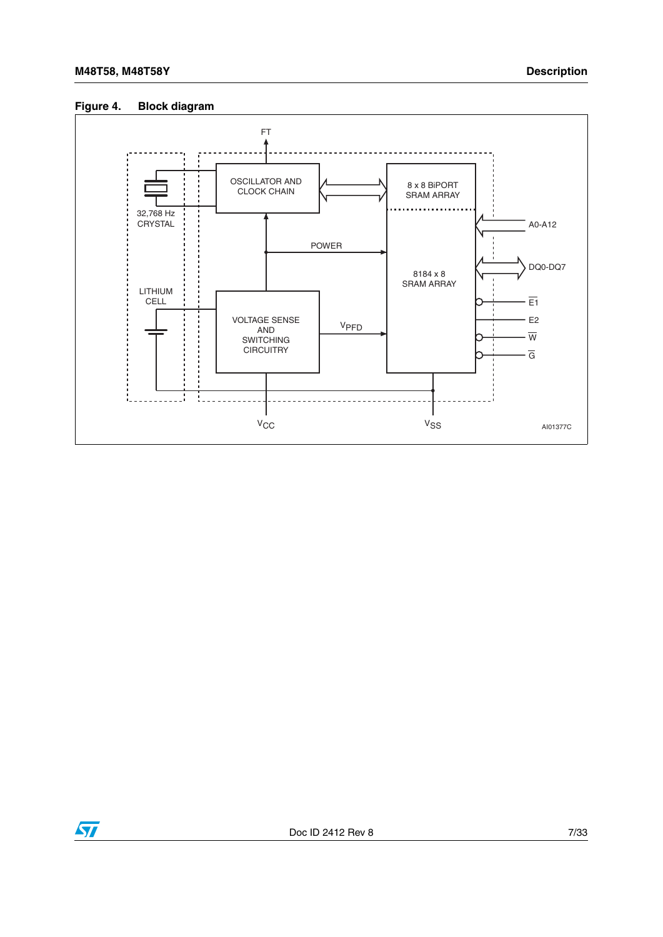### <span id="page-6-0"></span>**Figure 4. Block diagram**



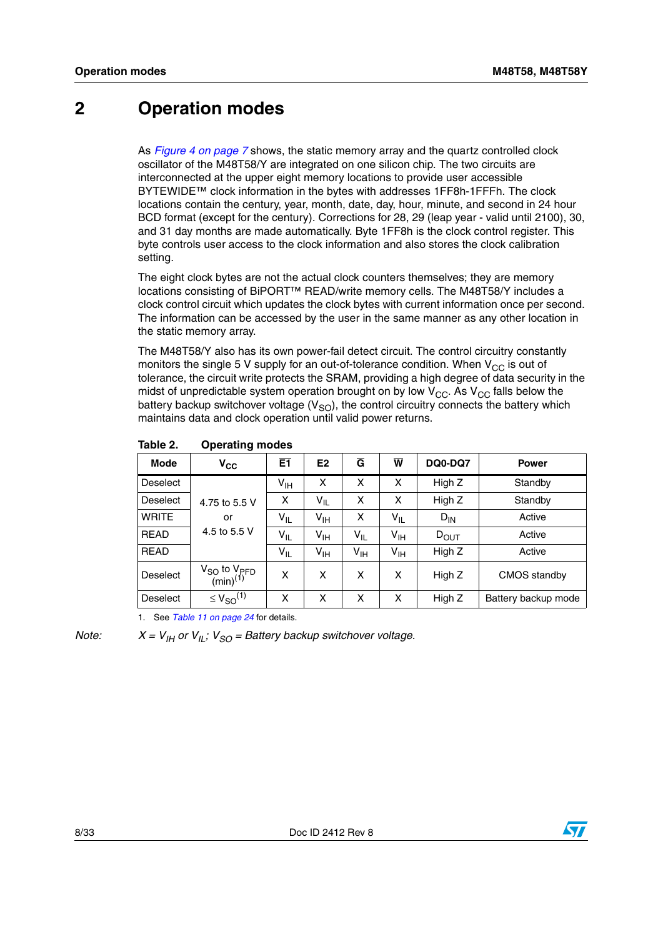## <span id="page-7-0"></span>**2 Operation modes**

As *[Figure 4 on page 7](#page-6-0)* shows, the static memory array and the quartz controlled clock oscillator of the M48T58/Y are integrated on one silicon chip. The two circuits are interconnected at the upper eight memory locations to provide user accessible BYTEWIDE™ clock information in the bytes with addresses 1FF8h-1FFFh. The clock locations contain the century, year, month, date, day, hour, minute, and second in 24 hour BCD format (except for the century). Corrections for 28, 29 (leap year - valid until 2100), 30, and 31 day months are made automatically. Byte 1FF8h is the clock control register. This byte controls user access to the clock information and also stores the clock calibration setting.

The eight clock bytes are not the actual clock counters themselves; they are memory locations consisting of BiPORT™ READ/write memory cells. The M48T58/Y includes a clock control circuit which updates the clock bytes with current information once per second. The information can be accessed by the user in the same manner as any other location in the static memory array.

The M48T58/Y also has its own power-fail detect circuit. The control circuitry constantly monitors the single 5 V supply for an out-of-tolerance condition. When  $V_{CC}$  is out of tolerance, the circuit write protects the SRAM, providing a high degree of data security in the midst of unpredictable system operation brought on by low  $V_{CC}$ . As  $V_{CC}$  falls below the battery backup switchover voltage ( $V_{\rm SO}$ ), the control circuitry connects the battery which maintains data and clock operation until valid power returns.

| <b>Mode</b>     | $V_{CC}$                                      | E1              | E <sub>2</sub>  | $\overline{G}$  | $\overline{\mathbf{w}}$ | <b>DQ0-DQ7</b>   | <b>Power</b>        |
|-----------------|-----------------------------------------------|-----------------|-----------------|-----------------|-------------------------|------------------|---------------------|
| <b>Deselect</b> |                                               | $V_{\text{IH}}$ | x               | x               | x                       | High Z           | Standby             |
| <b>Deselect</b> | 4.75 to 5.5 V                                 | X               | $V_{IL}$        | x               | x                       | High Z           | Standby             |
| <b>WRITE</b>    | or                                            | $V_{IL}$        | $V_{\text{IH}}$ | X               | $V_{ L}$                | $D_{IN}$         | Active              |
| <b>READ</b>     | 4.5 to 5.5 V                                  | $V_{IL}$        | V <sub>IH</sub> | $V_{IL}$        | V <sub>IH</sub>         | $D_{\text{OUT}}$ | Active              |
| <b>READ</b>     |                                               | $V_{IL}$        | $V_{\text{IH}}$ | $V_{\text{IH}}$ | V <sub>IH</sub>         | High Z           | Active              |
| Deselect        | $V_{SO}$ to $V_{PFD}$<br>(min) <sup>(1)</sup> | X               | x               | X               | X                       | High Z           | CMOS standby        |
| <b>Deselect</b> | $\leq$ $V_{SO}$ <sup>(1)</sup>                | X               | X               | x               | X                       | High Z           | Battery backup mode |

#### <span id="page-7-1"></span>**Table 2. Operating modes**

1. See *[Table 11 on page 24](#page-23-1)* for details.

*Note:*  $X = V_{IH}$  or  $V_{II}$ ;  $V_{SO} =$  Battery backup switchover voltage.

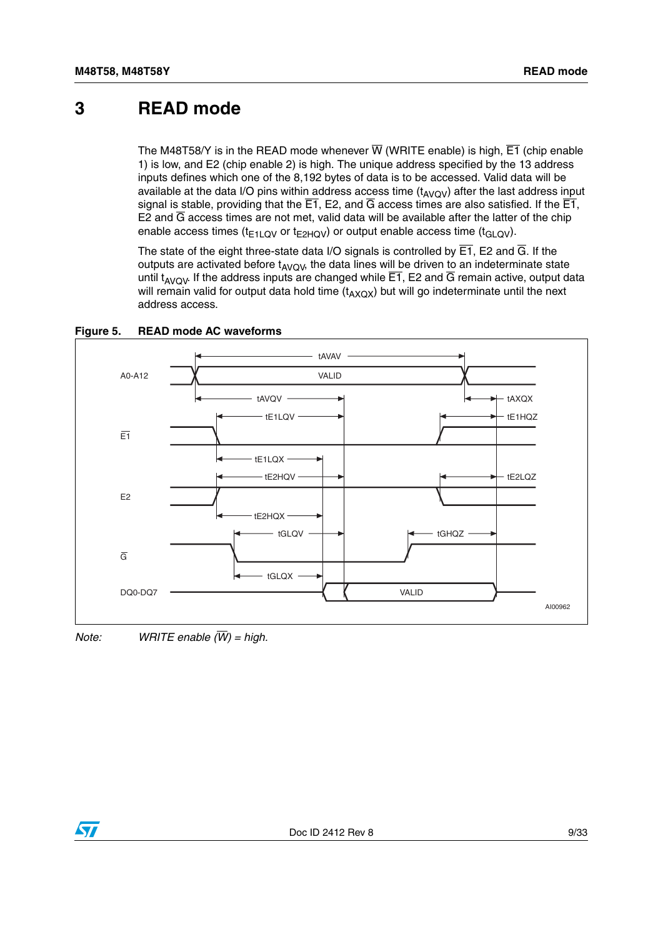## <span id="page-8-0"></span>**3 READ mode**

The M48T58/Y is in the READ mode whenever  $\overline{W}$  (WRITE enable) is high,  $\overline{E1}$  (chip enable 1) is low, and E2 (chip enable 2) is high. The unique address specified by the 13 address inputs defines which one of the 8,192 bytes of data is to be accessed. Valid data will be available at the data I/O pins within address access time  $(t_{AVQV})$  after the last address input signal is stable, providing that the  $\overline{E1}$ , E2, and  $\overline{G}$  access times are also satisfied. If the  $\overline{E1}$ , E2 and  $\overline{G}$  access times are not met, valid data will be available after the latter of the chip enable access times ( $t_{E1LQV}$  or  $t_{E2HQV}$ ) or output enable access time ( $t_{GLQV}$ ).

The state of the eight three-state data I/O signals is controlled by  $\overline{E1}$ , E2 and  $\overline{G}$ . If the outputs are activated before  $t_{AVQV}$ , the data lines will be driven to an indeterminate state until  $t_{AVQV}$ . If the address inputs are changed while  $\overline{E1}$ , E2 and  $\overline{G}$  remain active, output data will remain valid for output data hold time  $(t_{AXOX})$  but will go indeterminate until the next address access.



<span id="page-8-1"></span>**Figure 5. READ mode AC waveforms**

*Note: WRITE enable (W) = high.*

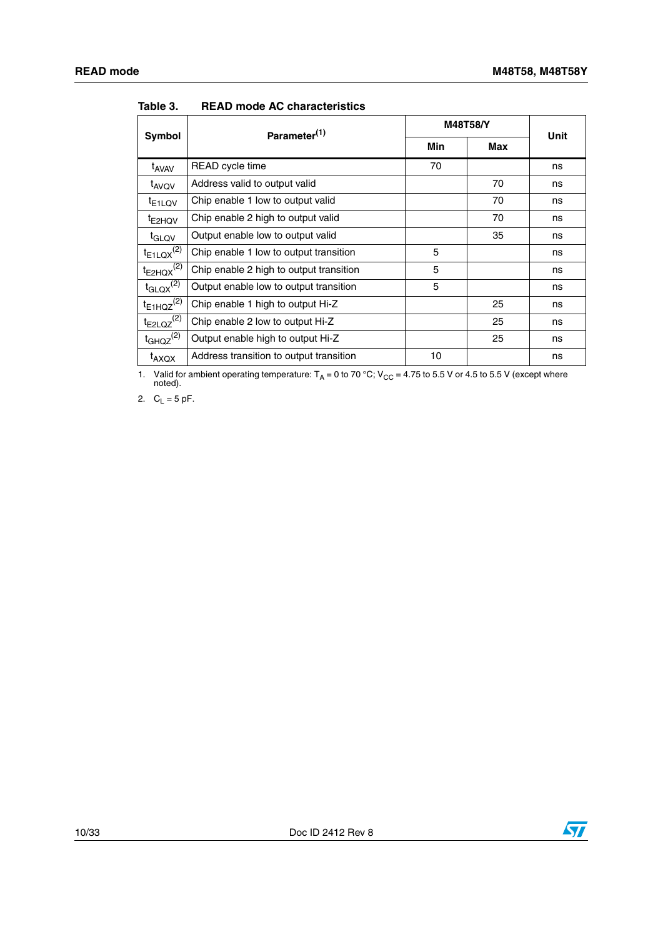|                                 | Parameter <sup>(1)</sup>                | <b>M48T58/Y</b> | Unit |    |
|---------------------------------|-----------------------------------------|-----------------|------|----|
| Symbol                          |                                         | Min             | Max  |    |
| t <sub>AVAV</sub>               | READ cycle time                         | 70              |      | ns |
| t <sub>AVQV</sub>               | Address valid to output valid           |                 | 70   | ns |
| <sup>t</sup> E <sub>1</sub> LQV | Chip enable 1 low to output valid       |                 | 70   | ns |
| t <sub>E2HQV</sub>              | Chip enable 2 high to output valid      |                 | 70   | ns |
| t <sub>GLQV</sub>               | Output enable low to output valid       |                 | 35   | ns |
| $t_{E1LQX}^{(2)}$               | Chip enable 1 low to output transition  | 5               |      | ns |
| $t_{E2HQX}^{(2)}$               | Chip enable 2 high to output transition | 5               |      | ns |
| $t_{\text{GLQX}}^{(2)}$         | Output enable low to output transition  | 5               |      | ns |
| $t_{E1HQZ}^{(2)}$               | Chip enable 1 high to output Hi-Z       |                 | 25   | ns |
| $t_{E2LQZ}^{(2)}$               | Chip enable 2 low to output Hi-Z        |                 | 25   | ns |
| $t_{GHQZ}^{(2)}$                | Output enable high to output Hi-Z       |                 | 25   | ns |
| t <sub>AXQX</sub>               | Address transition to output transition | 10              |      | ns |

<span id="page-9-0"></span>**Table 3. READ mode AC characteristics**

1. Valid for ambient operating temperature:  $T_A = 0$  to 70 °C; V<sub>CC</sub> = 4.75 to 5.5 V or 4.5 to 5.5 V (except where noted).

2.  $C_L = 5$  pF.

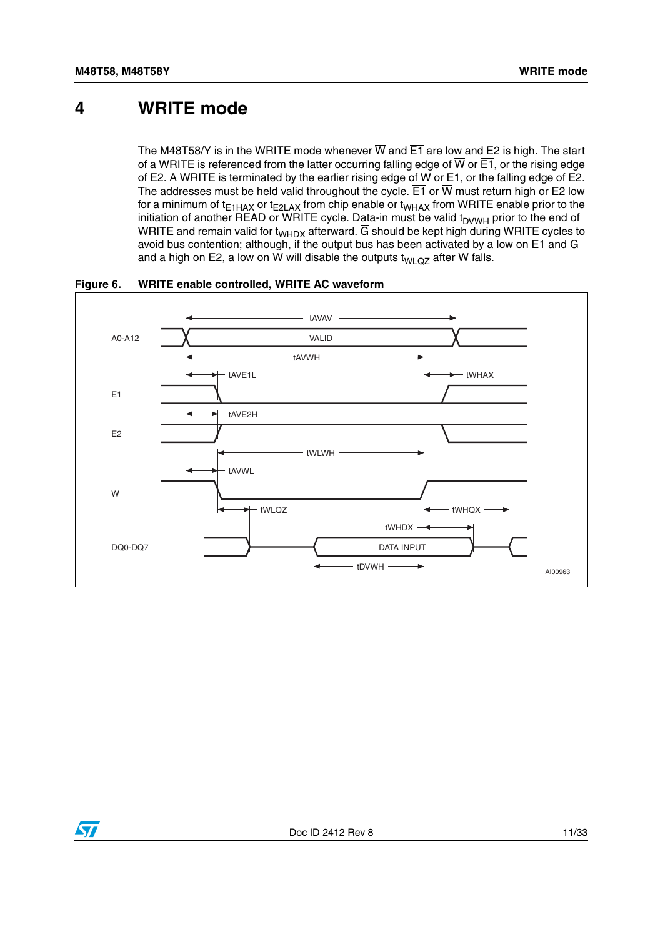## <span id="page-10-0"></span>**4 WRITE mode**

The M48T58/Y is in the WRITE mode whenever  $\overline{W}$  and  $\overline{E1}$  are low and E2 is high. The start of a WRITE is referenced from the latter occurring falling edge of  $\overline{W}$  or  $\overline{E1}$ , or the rising edge of E2. A WRITE is terminated by the earlier rising edge of  $\overline{W}$  or  $\overline{E1}$ , or the falling edge of E2. The addresses must be held valid throughout the cycle.  $\overline{E1}$  or  $\overline{W}$  must return high or E2 low for a minimum of  $t_{E1HAX}$  or  $t_{E2LAX}$  from chip enable or  $t_{WHAX}$  from WRITE enable prior to the initiation of another READ or WRITE cycle. Data-in must be valid  $t_{\text{DVWH}}$  prior to the end of WRITE and remain valid for  $t_{WHDX}$  afterward.  $\overline{G}$  should be kept high during WRITE cycles to avoid bus contention; although, if the output bus has been activated by a low on  $\overline{E1}$  and  $\overline{G}$ and a high on E2, a low on  $\overline{W}$  will disable the outputs t<sub>WLQZ</sub> after  $\overline{W}$  falls.



<span id="page-10-1"></span>**Figure 6. WRITE enable controlled, WRITE AC waveform**

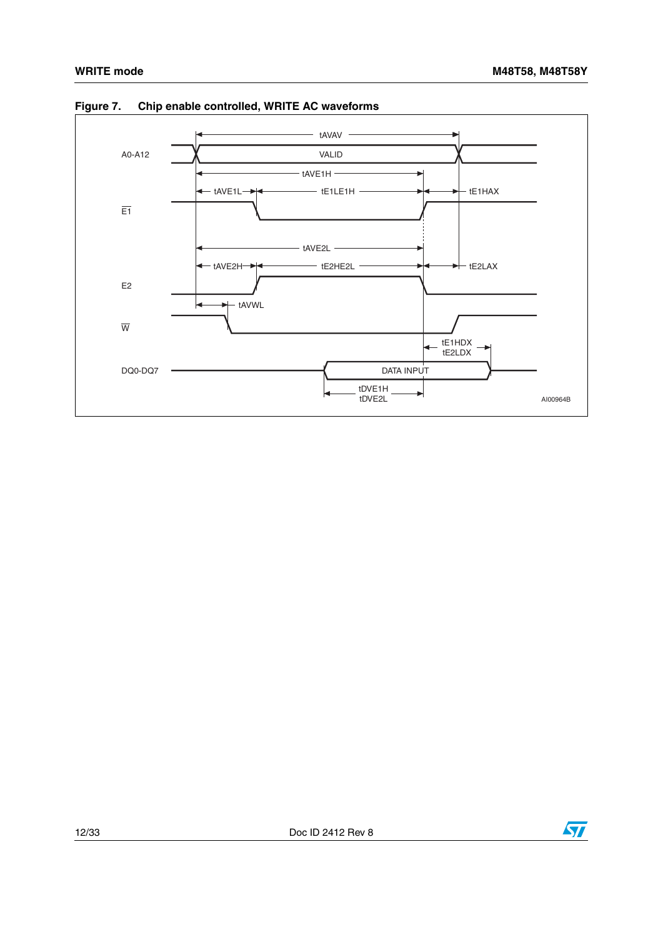

<span id="page-11-0"></span>**Figure 7. Chip enable controlled, WRITE AC waveforms**

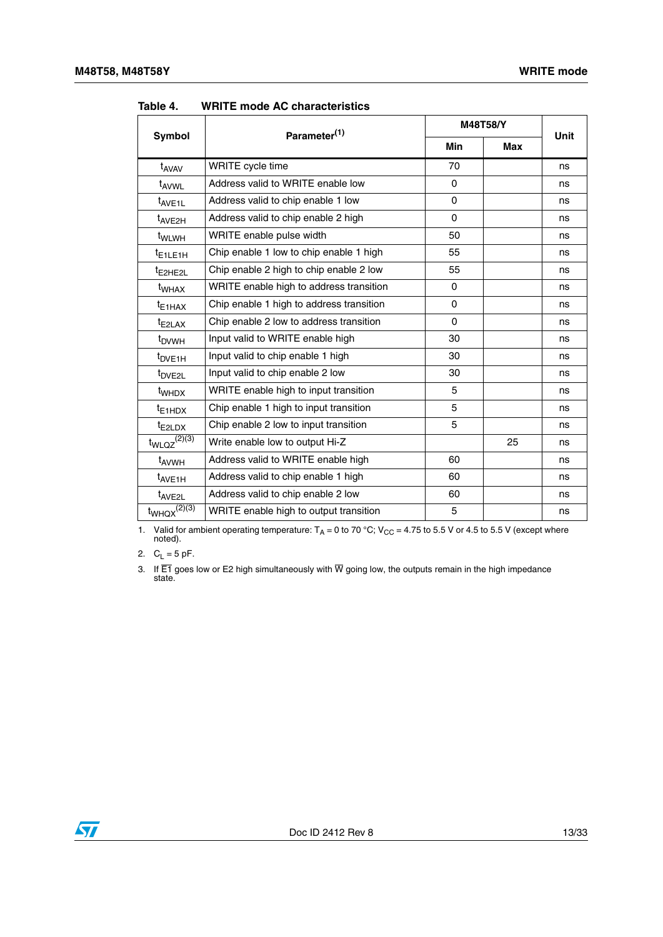|                                | Parameter <sup>(1)</sup>                 |              | M48T58/Y   |             |  |
|--------------------------------|------------------------------------------|--------------|------------|-------------|--|
| <b>Symbol</b>                  |                                          | <b>Min</b>   | <b>Max</b> | <b>Unit</b> |  |
| t <sub>AVAV</sub>              | WRITE cycle time                         | 70           |            | ns          |  |
| t <sub>AVWL</sub>              | Address valid to WRITE enable low        | 0            |            | ns          |  |
| t <sub>AVE1L</sub>             | Address valid to chip enable 1 low       | $\Omega$     |            | ns          |  |
| t <sub>AVE2H</sub>             | Address valid to chip enable 2 high      | $\Omega$     |            | ns          |  |
| t <sub>WLWH</sub>              | WRITE enable pulse width                 | 50           |            | ns          |  |
| <sup>t</sup> E1LE1H            | Chip enable 1 low to chip enable 1 high  | 55           |            | ns          |  |
| t <sub>E2HE2L</sub>            | Chip enable 2 high to chip enable 2 low  | 55           |            | ns          |  |
| t <sub>WHAX</sub>              | WRITE enable high to address transition  | $\mathbf{0}$ |            | ns          |  |
| $t_{E1HAX}$                    | Chip enable 1 high to address transition | 0            |            | ns          |  |
| $t_{E2LAX}$                    | Chip enable 2 low to address transition  | $\Omega$     |            | ns          |  |
| t <sub>DVWH</sub>              | Input valid to WRITE enable high         | 30           |            | ns          |  |
| t <sub>DVE1H</sub>             | Input valid to chip enable 1 high        | 30           |            | ns          |  |
| t <sub>DVE2L</sub>             | Input valid to chip enable 2 low         | 30           |            | ns          |  |
| t <sub>WHDX</sub>              | WRITE enable high to input transition    | 5            |            | ns          |  |
| $t_{E1HDX}$                    | Chip enable 1 high to input transition   | 5            |            | ns          |  |
| $t_{E2LDX}$                    | Chip enable 2 low to input transition    | 5            |            | ns          |  |
| $t_{WLQZ}^{(2)(3)}$            | Write enable low to output Hi-Z          |              | 25         | ns          |  |
| t <sub>AVWH</sub>              | Address valid to WRITE enable high       | 60           |            | ns          |  |
| t <sub>AVE1H</sub>             | Address valid to chip enable 1 high      | 60           |            | ns          |  |
| t <sub>AVE2L</sub>             | Address valid to chip enable 2 low       | 60           |            | ns          |  |
| $t_{WHQX}^{(2)\overline{(3)}}$ | WRITE enable high to output transition   | 5            |            | ns          |  |

<span id="page-12-0"></span>**Table 4. WRITE mode AC characteristics**

1. Valid for ambient operating temperature:  $T_A = 0$  to 70 °C; V<sub>CC</sub> = 4.75 to 5.5 V or 4.5 to 5.5 V (except where noted).

2.  $C_L = 5$  pF.

3. If E1 goes low or E2 high simultaneously with W going low, the outputs remain in the high impedance state.

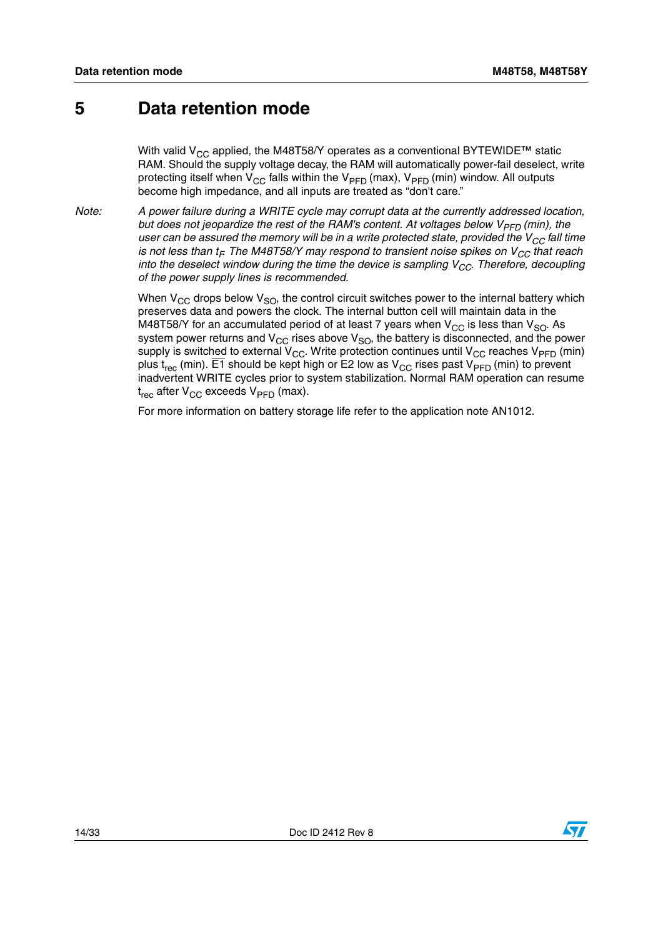## <span id="page-13-0"></span>**5 Data retention mode**

With valid V<sub>CC</sub> applied, the M48T58/Y operates as a conventional BYTEWIDE<sup>™</sup> static RAM. Should the supply voltage decay, the RAM will automatically power-fail deselect, write protecting itself when  $V_{CC}$  falls within the  $V_{PFD}$  (max),  $V_{PFD}$  (min) window. All outputs become high impedance, and all inputs are treated as "don't care."

*Note: A power failure during a WRITE cycle may corrupt data at the currently addressed location, but does not jeopardize the rest of the RAM's content. At voltages below V<sub>PFD</sub> (min), the user can be assured the memory will be in a write protected state, provided the V<sub>CC</sub> fall time is not less than t<sub>F</sub>. The M48T58/Y may respond to transient noise spikes on V<sub>CC</sub> that reach into the deselect window during the time the device is sampling*  $V_{CC}$ *. Therefore, decoupling of the power supply lines is recommended.*

> When  $V_{CC}$  drops below  $V_{SO}$ , the control circuit switches power to the internal battery which preserves data and powers the clock. The internal button cell will maintain data in the M48T58/Y for an accumulated period of at least 7 years when  $V_{CC}$  is less than  $V_{SO}$ . As system power returns and  $V_{CC}$  rises above  $V_{SO}$ , the battery is disconnected, and the power supply is switched to external  $V_{CC}$ . Write protection continues until  $V_{CC}$  reaches  $V_{PFD}$  (min) plus t<sub>rec</sub> (min). E1 should be kept high or E2 low as  $V_{CC}$  rises past  $V_{PFD}$  (min) to prevent inadvertent WRITE cycles prior to system stabilization. Normal RAM operation can resume  $t_{rec}$  after  $V_{CC}$  exceeds  $V_{PFD}$  (max).

For more information on battery storage life refer to the application note AN1012.

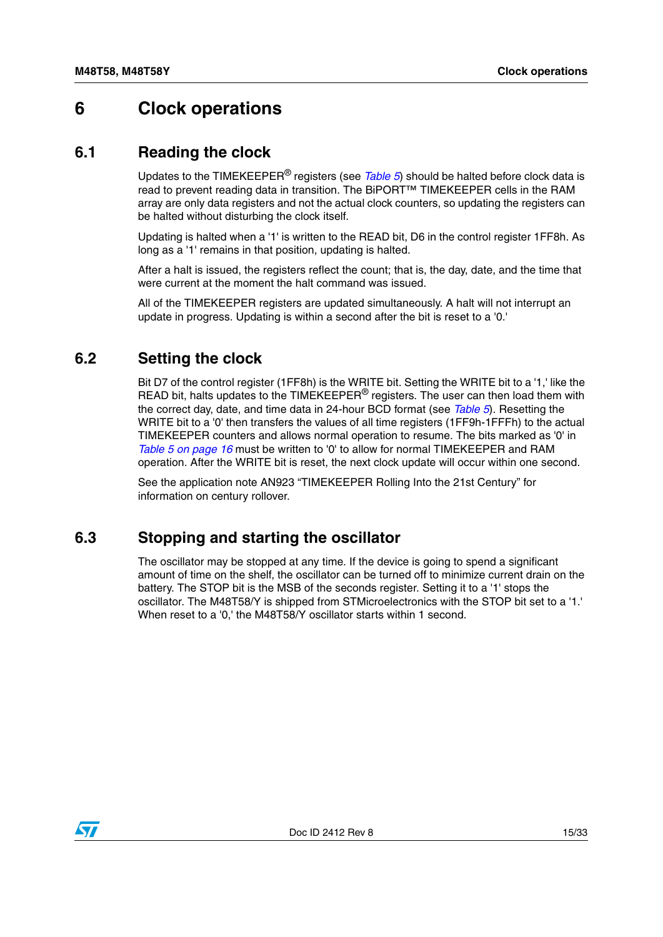## <span id="page-14-0"></span>**6 Clock operations**

### <span id="page-14-1"></span>**6.1 Reading the clock**

Updates to the TIMEKEEPER® registers (see *[Table 5](#page-15-1)*) should be halted before clock data is read to prevent reading data in transition. The BiPORT™ TIMEKEEPER cells in the RAM array are only data registers and not the actual clock counters, so updating the registers can be halted without disturbing the clock itself.

Updating is halted when a '1' is written to the READ bit, D6 in the control register 1FF8h. As long as a '1' remains in that position, updating is halted.

After a halt is issued, the registers reflect the count; that is, the day, date, and the time that were current at the moment the halt command was issued.

All of the TIMEKEEPER registers are updated simultaneously. A halt will not interrupt an update in progress. Updating is within a second after the bit is reset to a '0.'

### <span id="page-14-2"></span>**6.2 Setting the clock**

Bit D7 of the control register (1FF8h) is the WRITE bit. Setting the WRITE bit to a '1,' like the READ bit, halts updates to the TIMEKEEPER<sup>®</sup> registers. The user can then load them with the correct day, date, and time data in 24-hour BCD format (see *[Table 5](#page-15-1)*). Resetting the WRITE bit to a '0' then transfers the values of all time registers (1FF9h-1FFFh) to the actual TIMEKEEPER counters and allows normal operation to resume. The bits marked as '0' in *[Table 5 on page 16](#page-15-1)* must be written to '0' to allow for normal TIMEKEEPER and RAM operation. After the WRITE bit is reset, the next clock update will occur within one second.

See the application note AN923 "TIMEKEEPER Rolling Into the 21st Century" for information on century rollover.

### <span id="page-14-3"></span>**6.3 Stopping and starting the oscillator**

The oscillator may be stopped at any time. If the device is going to spend a significant amount of time on the shelf, the oscillator can be turned off to minimize current drain on the battery. The STOP bit is the MSB of the seconds register. Setting it to a '1' stops the oscillator. The M48T58/Y is shipped from STMicroelectronics with the STOP bit set to a '1.' When reset to a '0,' the M48T58/Y oscillator starts within 1 second.

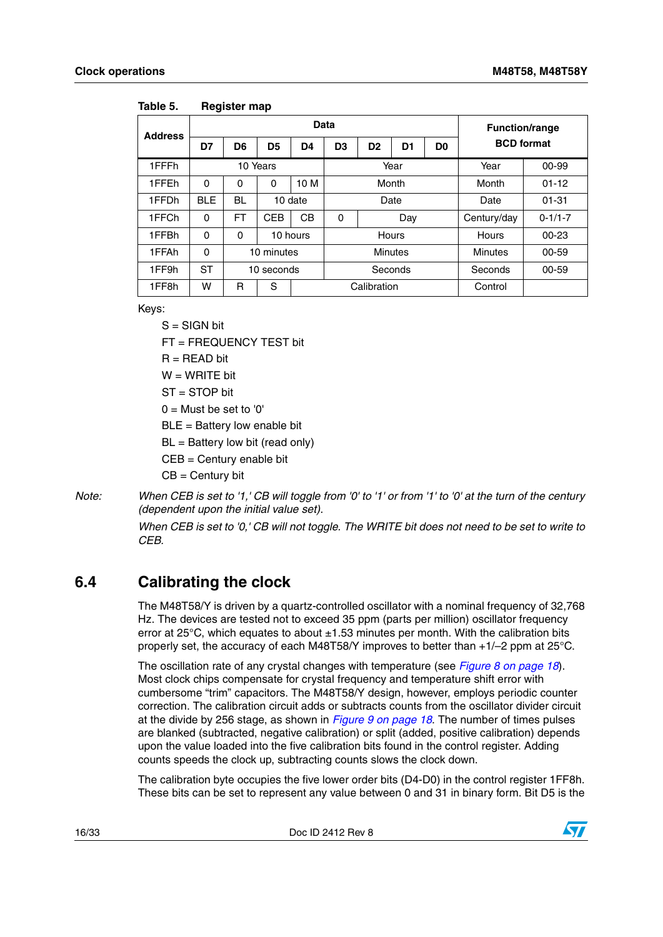| <b>Address</b> |            |          |            | <b>Function/range</b> |                |                |                |             |                   |           |  |
|----------------|------------|----------|------------|-----------------------|----------------|----------------|----------------|-------------|-------------------|-----------|--|
|                | D7         | D6       | D5         | D4                    | D <sub>3</sub> | D <sub>2</sub> | D <sub>1</sub> | D0          | <b>BCD</b> format |           |  |
| 1FFFh          |            |          | 10 Years   |                       | Year           |                |                |             | Year              | $00 - 99$ |  |
| 1FFEh          | $\Omega$   | 0        | 0          | 10 M                  | Month          |                |                |             | Month             | $01 - 12$ |  |
| 1FFDh          | <b>BLE</b> | BL       |            | 10 date               | Date           |                |                |             | Date              | $01 - 31$ |  |
| 1FFCh          | $\Omega$   | FT       | <b>CEB</b> | CВ                    | 0              | Day            |                | Century/day | $0 - 1/1 - 7$     |           |  |
| 1FFBh          | $\Omega$   | $\Omega$ |            | 10 hours              |                | Hours          |                |             | Hours             | $00 - 23$ |  |
| 1FFAh          | $\Omega$   |          | 10 minutes |                       | <b>Minutes</b> |                |                |             | <b>Minutes</b>    | $00 - 59$ |  |
| 1FF9h          | <b>ST</b>  |          | 10 seconds |                       | Seconds        |                |                |             | Seconds           | 00-59     |  |
| 1FF8h          | W          | R        | S          |                       |                | Calibration    |                |             | Control           |           |  |

<span id="page-15-1"></span>**Table 5. Register map**

Keys:

 $S = SIGN$  bit

FT = FREQUENCY TEST bit

 $R = READ$  bit

 $W = WRITF$  bit

ST = STOP bit

 $0 =$  Must be set to '0'

BLE = Battery low enable bit

 $BL =$  Battery low bit (read only)

CEB = Century enable bit

 $CB = Century bit$ 

*Note: When CEB is set to '1,' CB will toggle from '0' to '1' or from '1' to '0' at the turn of the century (dependent upon the initial value set).*

> *When CEB is set to '0,' CB will not toggle. The WRITE bit does not need to be set to write to CEB.*

## <span id="page-15-0"></span>**6.4 Calibrating the clock**

The M48T58/Y is driven by a quartz-controlled oscillator with a nominal frequency of 32,768 Hz. The devices are tested not to exceed 35 ppm (parts per million) oscillator frequency error at 25°C, which equates to about ±1.53 minutes per month. With the calibration bits properly set, the accuracy of each M48T58/Y improves to better than +1/–2 ppm at 25°C.

The oscillation rate of any crystal changes with temperature (see *[Figure 8 on page 18](#page-17-0)*). Most clock chips compensate for crystal frequency and temperature shift error with cumbersome "trim" capacitors. The M48T58/Y design, however, employs periodic counter correction. The calibration circuit adds or subtracts counts from the oscillator divider circuit at the divide by 256 stage, as shown in *[Figure 9 on page 18](#page-17-1)*. The number of times pulses are blanked (subtracted, negative calibration) or split (added, positive calibration) depends upon the value loaded into the five calibration bits found in the control register. Adding counts speeds the clock up, subtracting counts slows the clock down.

The calibration byte occupies the five lower order bits (D4-D0) in the control register 1FF8h. These bits can be set to represent any value between 0 and 31 in binary form. Bit D5 is the

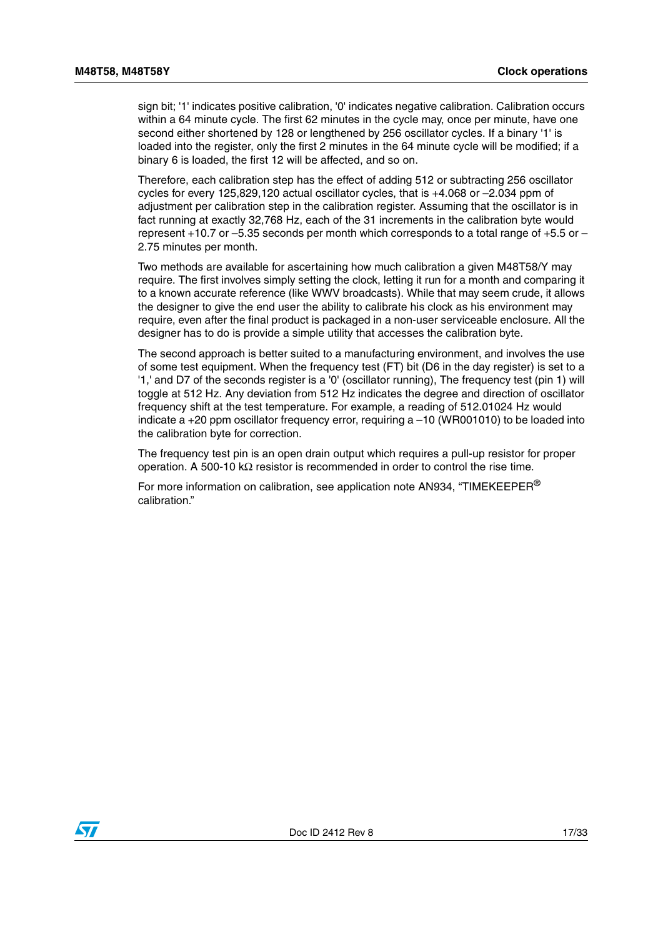sign bit; '1' indicates positive calibration, '0' indicates negative calibration. Calibration occurs within a 64 minute cycle. The first 62 minutes in the cycle may, once per minute, have one second either shortened by 128 or lengthened by 256 oscillator cycles. If a binary '1' is loaded into the register, only the first 2 minutes in the 64 minute cycle will be modified; if a binary 6 is loaded, the first 12 will be affected, and so on.

Therefore, each calibration step has the effect of adding 512 or subtracting 256 oscillator cycles for every 125,829,120 actual oscillator cycles, that is +4.068 or –2.034 ppm of adjustment per calibration step in the calibration register. Assuming that the oscillator is in fact running at exactly 32,768 Hz, each of the 31 increments in the calibration byte would represent +10.7 or –5.35 seconds per month which corresponds to a total range of +5.5 or – 2.75 minutes per month.

Two methods are available for ascertaining how much calibration a given M48T58/Y may require. The first involves simply setting the clock, letting it run for a month and comparing it to a known accurate reference (like WWV broadcasts). While that may seem crude, it allows the designer to give the end user the ability to calibrate his clock as his environment may require, even after the final product is packaged in a non-user serviceable enclosure. All the designer has to do is provide a simple utility that accesses the calibration byte.

The second approach is better suited to a manufacturing environment, and involves the use of some test equipment. When the frequency test (FT) bit (D6 in the day register) is set to a '1,' and D7 of the seconds register is a '0' (oscillator running), The frequency test (pin 1) will toggle at 512 Hz. Any deviation from 512 Hz indicates the degree and direction of oscillator frequency shift at the test temperature. For example, a reading of 512.01024 Hz would indicate a  $+20$  ppm oscillator frequency error, requiring a  $-10$  (WR001010) to be loaded into the calibration byte for correction.

The frequency test pin is an open drain output which requires a pull-up resistor for proper operation. A 500-10 kΩ resistor is recommended in order to control the rise time.

For more information on calibration, see application note AN934, "TIMEKEEPER<sup>®</sup> calibration."

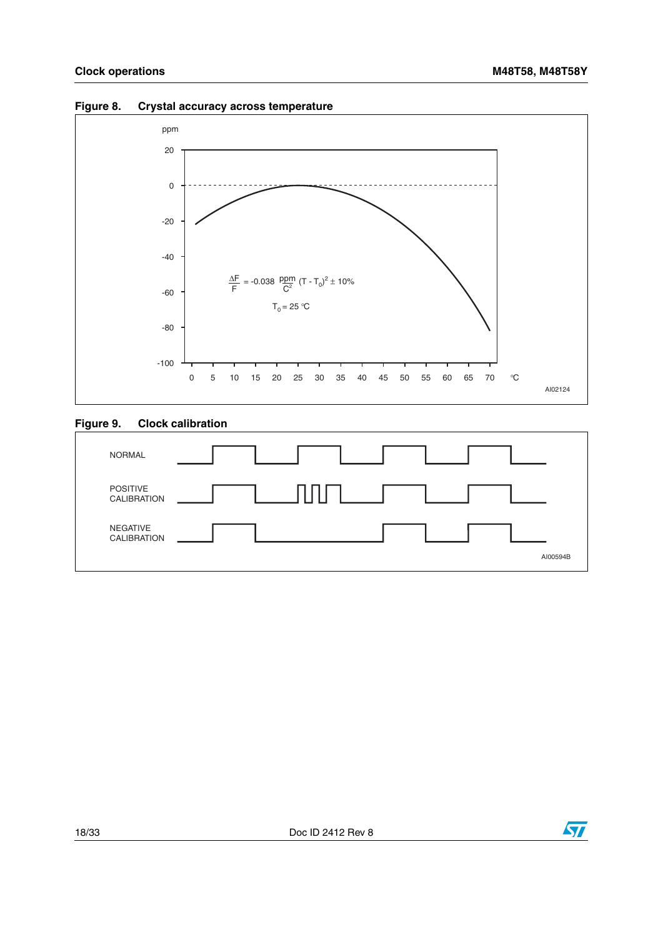

#### <span id="page-17-0"></span>**Figure 8. Crystal accuracy across temperature**

### <span id="page-17-1"></span>**Figure 9. Clock calibration**



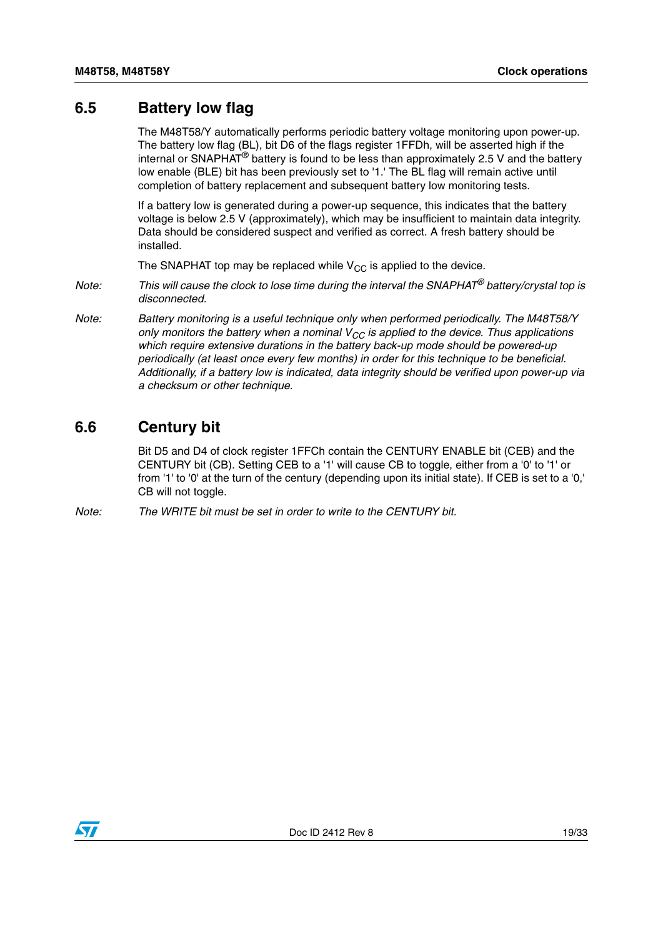## <span id="page-18-0"></span>**6.5 Battery low flag**

The M48T58/Y automatically performs periodic battery voltage monitoring upon power-up. The battery low flag (BL), bit D6 of the flags register 1FFDh, will be asserted high if the internal or SNAPHAT<sup>®</sup> battery is found to be less than approximately 2.5 V and the battery low enable (BLE) bit has been previously set to '1.' The BL flag will remain active until completion of battery replacement and subsequent battery low monitoring tests.

If a battery low is generated during a power-up sequence, this indicates that the battery voltage is below 2.5 V (approximately), which may be insufficient to maintain data integrity. Data should be considered suspect and verified as correct. A fresh battery should be installed.

The SNAPHAT top may be replaced while  $V_{CC}$  is applied to the device.

- *Note: This will cause the clock to lose time during the interval the SNAPHAT® battery/crystal top is disconnected.*
- *Note: Battery monitoring is a useful technique only when performed periodically. The M48T58/Y only monitors the battery when a nominal V<sub>CC</sub> is applied to the device. Thus applications which require extensive durations in the battery back-up mode should be powered-up periodically (at least once every few months) in order for this technique to be beneficial. Additionally, if a battery low is indicated, data integrity should be verified upon power-up via a checksum or other technique.*

### <span id="page-18-1"></span>**6.6 Century bit**

Bit D5 and D4 of clock register 1FFCh contain the CENTURY ENABLE bit (CEB) and the CENTURY bit (CB). Setting CEB to a '1' will cause CB to toggle, either from a '0' to '1' or from '1' to '0' at the turn of the century (depending upon its initial state). If CEB is set to a '0,' CB will not toggle.

*Note: The WRITE bit must be set in order to write to the CENTURY bit.*

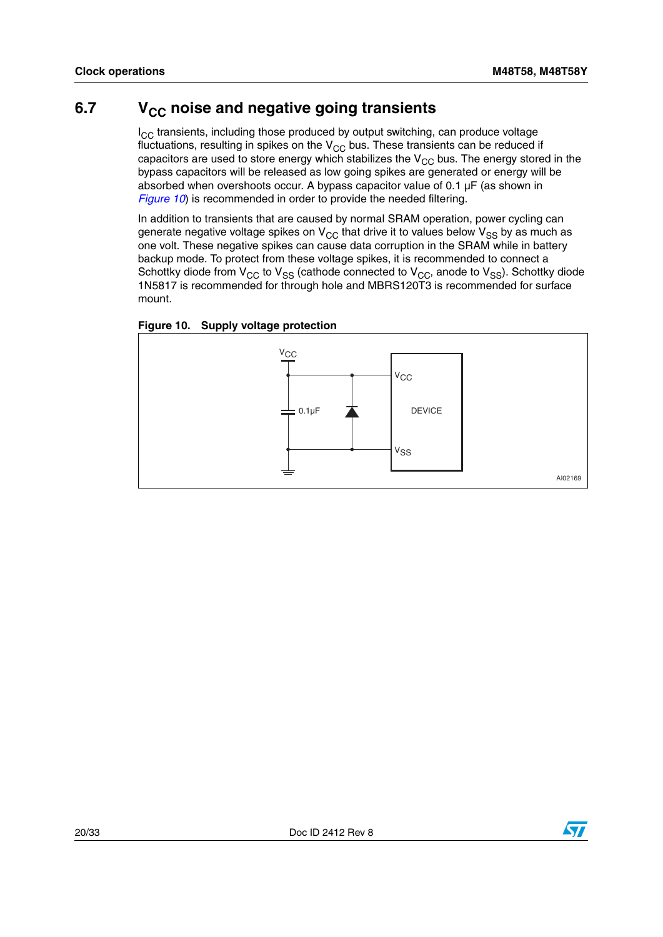## <span id="page-19-0"></span>6.7 V<sub>CC</sub> noise and negative going transients

 $I_{CC}$  transients, including those produced by output switching, can produce voltage fluctuations, resulting in spikes on the  $V_{CC}$  bus. These transients can be reduced if capacitors are used to store energy which stabilizes the  $V_{CC}$  bus. The energy stored in the bypass capacitors will be released as low going spikes are generated or energy will be absorbed when overshoots occur. A bypass capacitor value of 0.1 µF (as shown in *[Figure 10](#page-19-1)*) is recommended in order to provide the needed filtering.

In addition to transients that are caused by normal SRAM operation, power cycling can generate negative voltage spikes on  $V_{CC}$  that drive it to values below  $V_{SS}$  by as much as one volt. These negative spikes can cause data corruption in the SRAM while in battery backup mode. To protect from these voltage spikes, it is recommended to connect a Schottky diode from  $V_{CC}$  to  $V_{SS}$  (cathode connected to  $V_{CC}$ , anode to  $V_{SS}$ ). Schottky diode 1N5817 is recommended for through hole and MBRS120T3 is recommended for surface mount.

<span id="page-19-1"></span>



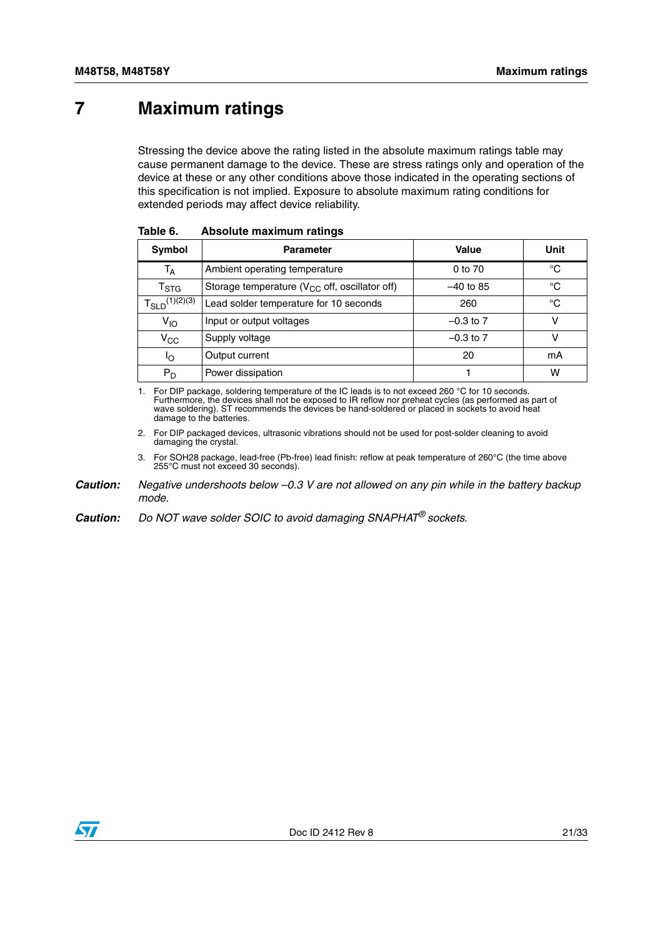## <span id="page-20-0"></span>**7 Maximum ratings**

Stressing the device above the rating listed in the absolute maximum ratings table may cause permanent damage to the device. These are stress ratings only and operation of the device at these or any other conditions above those indicated in the operating sections of this specification is not implied. Exposure to absolute maximum rating conditions for extended periods may affect device reliability.

| Symbol                      | <b>Parameter</b>                                    | Value         | Unit |
|-----------------------------|-----------------------------------------------------|---------------|------|
| T <sub>A</sub>              | Ambient operating temperature                       | 0 to 70       | °C   |
| $\mathsf{T}_{\textsf{STG}}$ | Storage temperature ( $V_{CC}$ off, oscillator off) | $-40$ to 85   | °C   |
| $T_{SLD}^{(1)(2)(3)}$       | Lead solder temperature for 10 seconds              | 260           | °C   |
| $V_{IO}$                    | Input or output voltages                            | $-0.3$ to 7   | v    |
| $V_{\rm CC}$                | Supply voltage                                      | $-0.3$ to $7$ | v    |
| ١o                          | Output current                                      | 20            | mA   |
| $P_D$                       | Power dissipation                                   |               | w    |

<span id="page-20-1"></span>

1. For DIP package, soldering temperature of the IC leads is to not exceed 260 °C for 10 seconds.<br>Furthermore, the devices shall not be exposed to IR reflow nor preheat cycles (as performed as part of<br>wave soldering). ST r damage to the batteries.

2. For DIP packaged devices, ultrasonic vibrations should not be used for post-solder cleaning to avoid damaging the crystal.

3. For SOH28 package, lead-free (Pb-free) lead finish: reflow at peak temperature of 260°C (the time above 255°C must not exceed 30 seconds).

*Caution: Negative undershoots below –0.3 V are not allowed on any pin while in the battery backup mode.*

*Caution: Do NOT wave solder SOIC to avoid damaging SNAPHAT® sockets.*

![](_page_20_Picture_11.jpeg)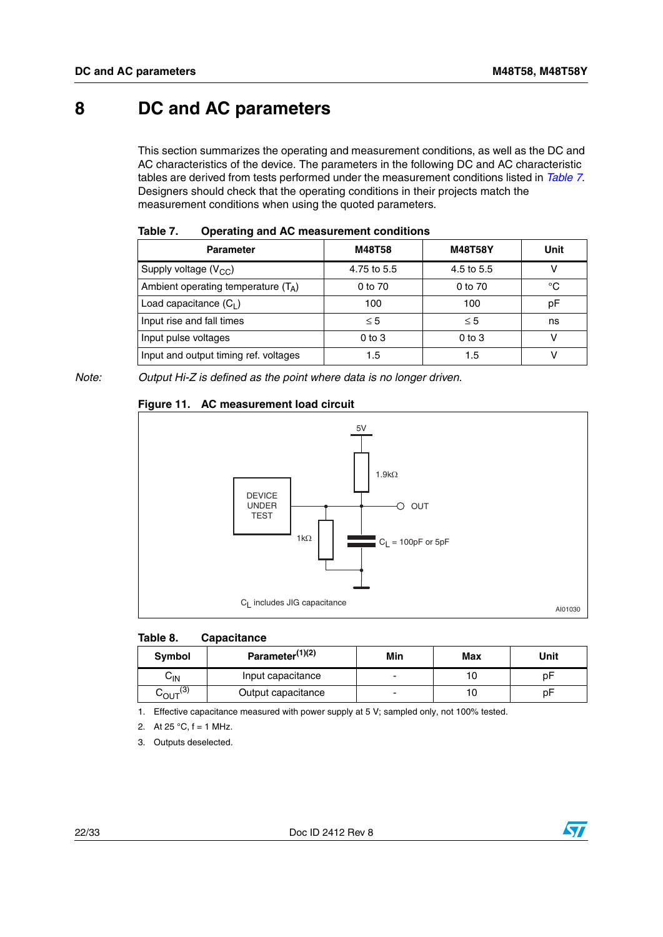## <span id="page-21-0"></span>**8 DC and AC parameters**

This section summarizes the operating and measurement conditions, as well as the DC and AC characteristics of the device. The parameters in the following DC and AC characteristic tables are derived from tests performed under the measurement conditions listed in *[Table 7](#page-21-1)*. Designers should check that the operating conditions in their projects match the measurement conditions when using the quoted parameters.

| .<br>operating and Ao measurement conditions |             |                |      |  |  |  |  |
|----------------------------------------------|-------------|----------------|------|--|--|--|--|
| <b>Parameter</b>                             | M48T58      | <b>M48T58Y</b> | Unit |  |  |  |  |
| Supply voltage $(V_{CC})$                    | 4.75 to 5.5 | 4.5 to 5.5     |      |  |  |  |  |
| Ambient operating temperature $(T_A)$        | 0 to 70     | 0 to 70        | °C   |  |  |  |  |
| Load capacitance $(C_1)$                     | 100         | 100            | рF   |  |  |  |  |
| Input rise and fall times                    | $\leq$ 5    | $\leq 5$       | ns   |  |  |  |  |
| Input pulse voltages                         | $0$ to $3$  | $0$ to $3$     |      |  |  |  |  |
| Input and output timing ref. voltages        | 1.5         | 1.5            |      |  |  |  |  |

<span id="page-21-1"></span>

| Table 7. | Operating and AC measurement conditions |
|----------|-----------------------------------------|
|----------|-----------------------------------------|

*Note: Output Hi-Z is defined as the point where data is no longer driven.*

![](_page_21_Figure_8.jpeg)

### <span id="page-21-3"></span>**Figure 11. AC measurement load circuit**

#### <span id="page-21-2"></span>**Table 8. Capacitance**

| Symbol                    | Parameter $(1)(2)$ | Min | Max | Unit |
|---------------------------|--------------------|-----|-----|------|
| ∨∣N                       | Input capacitance  |     |     | p⊦   |
| $\sim_{\text{OUT}}^{(3)}$ | Output capacitance |     |     | p۲   |

1. Effective capacitance measured with power supply at 5 V; sampled only, not 100% tested.

2. At 25  $^{\circ}$ C, f = 1 MHz.

3. Outputs deselected.

![](_page_21_Picture_16.jpeg)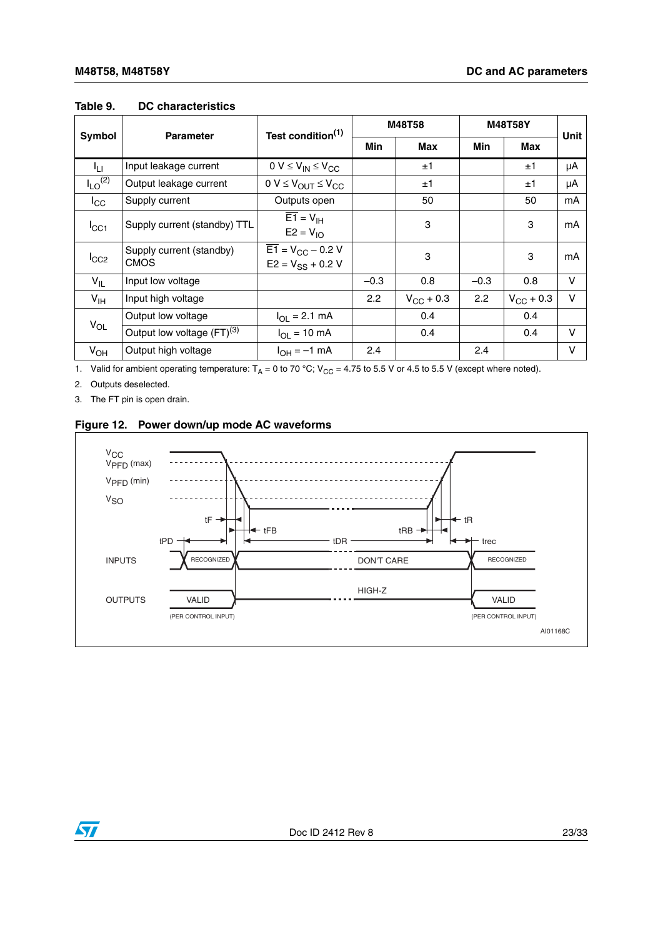|                         | <b>Parameter</b>                 | Test condition <sup>(1)</sup>                             | M48T58 |                    | <b>M48T58Y</b> |                    |        |
|-------------------------|----------------------------------|-----------------------------------------------------------|--------|--------------------|----------------|--------------------|--------|
| <b>Symbol</b>           |                                  |                                                           | Min    | Max                | Min            | Max                | Unit   |
| ĪЦ                      | Input leakage current            | $0 V \leq V_{IN} \leq V_{CC}$                             |        | ±1                 |                | ±1                 | μA     |
| $I_{LO}$ <sup>(2)</sup> | Output leakage current           | $0 V \leq V_{OUT} \leq V_{CC}$                            |        | ±1                 |                | $\pm 1$            | μA     |
| $I_{\rm CC}$            | Supply current                   | Outputs open                                              |        | 50                 |                | 50                 | mA     |
| $I_{\rm CC1}$           | Supply current (standby) TTL     | $\overline{E1} = V_{\text{IH}}$<br>$E2 = V10$             |        | 3                  |                | 3                  | mA     |
| $I_{CC2}$               | Supply current (standby)<br>CMOS | $\overline{E1} = V_{CC} - 0.2 V$<br>$E2 = V_{SS} + 0.2 V$ |        | 3                  |                | 3                  | mA     |
| $V_{IL}$                | Input low voltage                |                                                           | $-0.3$ | 0.8                | $-0.3$         | 0.8                | V      |
| $V_{\text{IH}}$         | Input high voltage               |                                                           | 2.2    | $V_{\rm CC}$ + 0.3 | 2.2            | $V_{\rm CC}$ + 0.3 | $\vee$ |
|                         | Output low voltage               | $I_{\text{OI}} = 2.1 \text{ mA}$                          |        | 0.4                |                | 0.4                |        |
| $V_{OL}$                | Output low voltage $(FT)^{(3)}$  | $I_{OL}$ = 10 mA                                          |        | 0.4                |                | 0.4                | $\vee$ |
| $V_{OH}$                | Output high voltage              | $I_{OH} = -1$ mA                                          | 2.4    |                    | 2.4            |                    | $\vee$ |

#### <span id="page-22-0"></span>**Table 9. DC characteristics**

1. Valid for ambient operating temperature:  $T_A = 0$  to 70 °C;  $V_{CC} = 4.75$  to 5.5 V or 4.5 to 5.5 V (except where noted).

2. Outputs deselected.

3. The FT pin is open drain.

### <span id="page-22-1"></span>**Figure 12. Power down/up mode AC waveforms**

![](_page_22_Figure_8.jpeg)

![](_page_22_Picture_9.jpeg)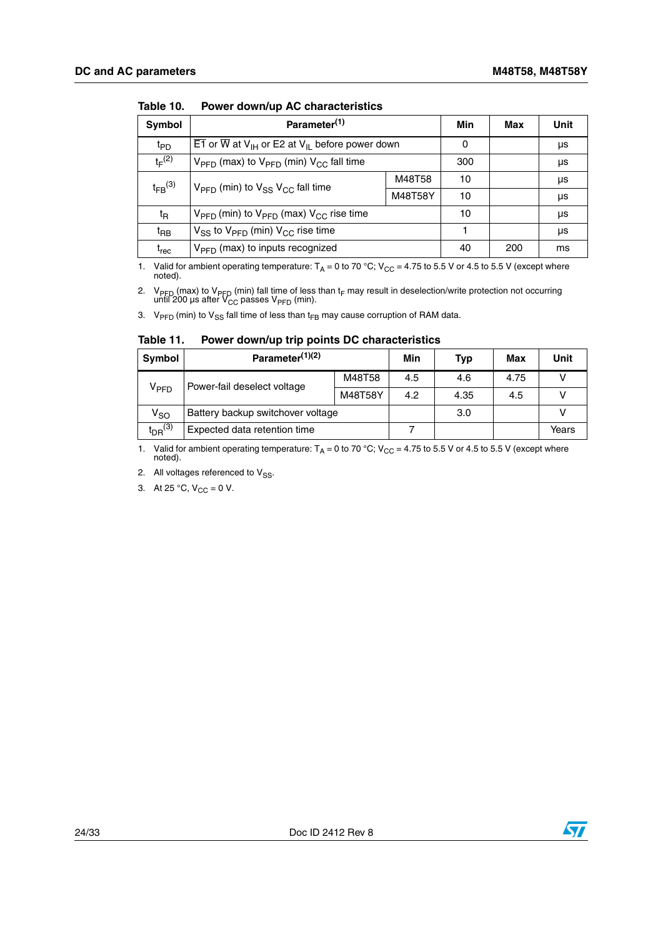| Symbol                        | Parameter <sup>(1)</sup>                                                                        | Min     | Max | Unit |    |
|-------------------------------|-------------------------------------------------------------------------------------------------|---------|-----|------|----|
| t <sub>PD</sub>               | $\overline{E1}$ or $\overline{W}$ at $V_{\text{IH}}$ or E2 at $V_{\text{IL}}$ before power down |         | 0   |      | μs |
| $t_F^{(2)}$                   | $V_{\text{PFD}}$ (max) to $V_{\text{PFD}}$ (min) $V_{\text{CC}}$ fall time                      | 300     |     | μs   |    |
| $t_{FB}$ <sup>(3)</sup>       | $V_{\text{PFD}}$ (min) to $V_{SS}$ $V_{CC}$ fall time                                           | M48T58  | 10  |      | μs |
|                               |                                                                                                 | M48T58Y | 10  |      | μs |
| t <sub>R</sub>                | $V_{\text{PFD}}$ (min) to $V_{\text{PFD}}$ (max) $V_{\text{CC}}$ rise time                      | 10      |     | μs   |    |
| t <sub>RB</sub>               | $V_{SS}$ to $V_{PFD}$ (min) $V_{CC}$ rise time                                                  |         |     | μs   |    |
| $\mathfrak{t}_{\mathsf{rec}}$ | $V_{\text{PFD}}$ (max) to inputs recognized                                                     |         | 40  | 200  | ms |

<span id="page-23-0"></span>**Table 10. Power down/up AC characteristics**

1. Valid for ambient operating temperature:  $T_A = 0$  to 70 °C; V<sub>CC</sub> = 4.75 to 5.5 V or 4.5 to 5.5 V (except where noted).

2. V<sub>PFD</sub> (max) to V<sub>PFD</sub> (min) fall time of less than t<sub>F</sub> may result in deselection/write protection not occurring<br>until 200 μs after V<sub>CC</sub> passes V<sub>PFD</sub> (min).

3.  $V_{\text{PFD}}$  (min) to  $V_{\text{SS}}$  fall time of less than t<sub>FB</sub> may cause corruption of RAM data.

<span id="page-23-1"></span>**Table 11. Power down/up trip points DC characteristics**

| Symbol                                          | Parameter <sup>(1)(2)</sup>       |     | Min | Typ  | Max | Unit  |
|-------------------------------------------------|-----------------------------------|-----|-----|------|-----|-------|
| Power-fail deselect voltage<br>V <sub>PFD</sub> | M48T58                            | 4.5 | 4.6 | 4.75 |     |       |
|                                                 | M48T58Y                           |     | 4.2 | 4.35 | 4.5 |       |
| $V_{SO}$                                        | Battery backup switchover voltage |     |     | 3.0  |     |       |
| $t_{DR}$ <sup>(3)</sup>                         | Expected data retention time      |     |     |      |     | Years |

1. Valid for ambient operating temperature:  $T_A = 0$  to 70 °C; V<sub>CC</sub> = 4.75 to 5.5 V or 4.5 to 5.5 V (except where noted).

2. All voltages referenced to  $V_{SS}$ .

3. At 25 °C,  $V_{CC} = 0$  V.

![](_page_23_Picture_14.jpeg)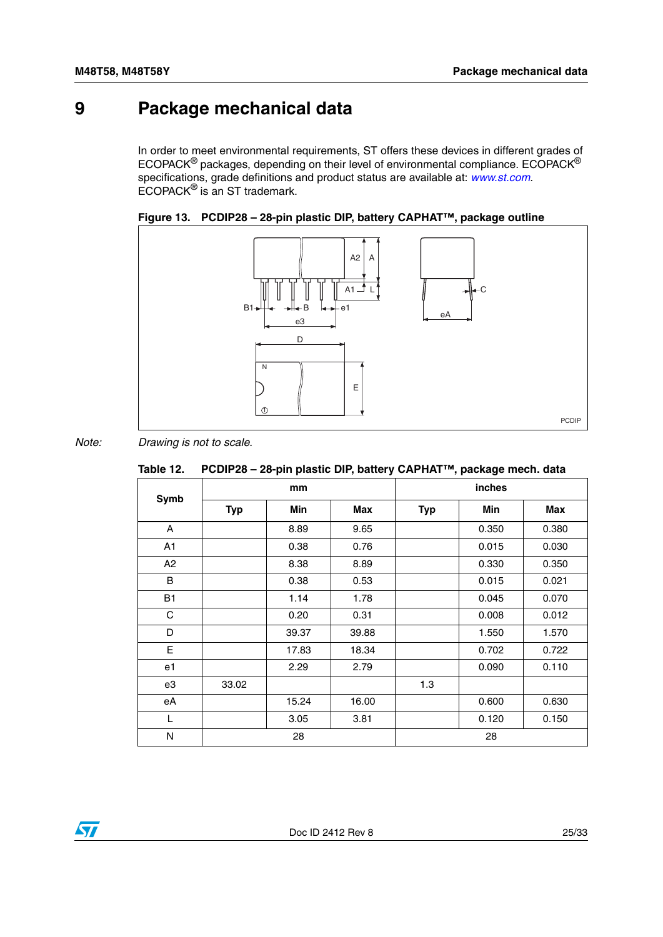## <span id="page-24-0"></span>**9 Package mechanical data**

In order to meet environmental requirements, ST offers these devices in different grades of ECOPACK® packages, depending on their level of environmental compliance. ECOPACK® specifications, grade definitions and product status are available at: *www.st.com*. ECOPACK® is an ST trademark.

<span id="page-24-2"></span>![](_page_24_Figure_4.jpeg)

![](_page_24_Figure_5.jpeg)

### *Note: Drawing is not to scale.*

<span id="page-24-1"></span>

|  | Table 12.     PCDIP28 – 28-pin plastic DIP, battery CAPHAT™, package mech. data |  |
|--|---------------------------------------------------------------------------------|--|
|--|---------------------------------------------------------------------------------|--|

| <b>Symb</b> | mm         |       |       | inches     |       |       |
|-------------|------------|-------|-------|------------|-------|-------|
|             | <b>Typ</b> | Min   | Max   | <b>Typ</b> | Min   | Max   |
| A           |            | 8.89  | 9.65  |            | 0.350 | 0.380 |
| A1          |            | 0.38  | 0.76  |            | 0.015 | 0.030 |
| A2          |            | 8.38  | 8.89  |            | 0.330 | 0.350 |
| $\sf B$     |            | 0.38  | 0.53  |            | 0.015 | 0.021 |
| <b>B1</b>   |            | 1.14  | 1.78  |            | 0.045 | 0.070 |
| $\mathbf C$ |            | 0.20  | 0.31  |            | 0.008 | 0.012 |
| D           |            | 39.37 | 39.88 |            | 1.550 | 1.570 |
| E           |            | 17.83 | 18.34 |            | 0.702 | 0.722 |
| e1          |            | 2.29  | 2.79  |            | 0.090 | 0.110 |
| e3          | 33.02      |       |       | 1.3        |       |       |
| eA          |            | 15.24 | 16.00 |            | 0.600 | 0.630 |
| L           |            | 3.05  | 3.81  |            | 0.120 | 0.150 |
| N           |            | 28    |       | 28         |       |       |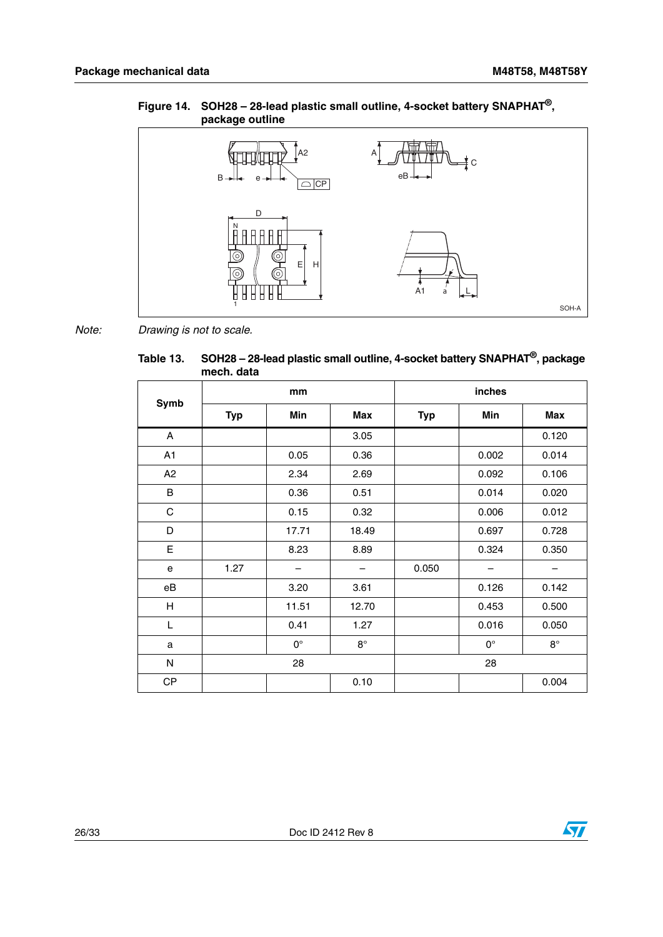### <span id="page-25-1"></span>**Figure 14. SOH28 – 28-lead plastic small outline, 4-socket battery SNAPHAT®, package outline**

![](_page_25_Figure_3.jpeg)

*Note: Drawing is not to scale.*

<span id="page-25-0"></span>**Table 13. SOH28 – 28-lead plastic small outline, 4-socket battery SNAPHAT®, package mech. data**

| Symb                      | mm         |             |             | inches     |             |             |
|---------------------------|------------|-------------|-------------|------------|-------------|-------------|
|                           | <b>Typ</b> | Min         | Max         | <b>Typ</b> | Min         | Max         |
| A                         |            |             | 3.05        |            |             | 0.120       |
| A1                        |            | 0.05        | 0.36        |            | 0.002       | 0.014       |
| A2                        |            | 2.34        | 2.69        |            | 0.092       | 0.106       |
| B                         |            | 0.36        | 0.51        |            | 0.014       | 0.020       |
| $\mathbf C$               |            | 0.15        | 0.32        |            | 0.006       | 0.012       |
| D                         |            | 17.71       | 18.49       |            | 0.697       | 0.728       |
| E                         |            | 8.23        | 8.89        |            | 0.324       | 0.350       |
| e                         | 1.27       | —           |             | 0.050      |             |             |
| eB                        |            | 3.20        | 3.61        |            | 0.126       | 0.142       |
| $\boldsymbol{\mathsf{H}}$ |            | 11.51       | 12.70       |            | 0.453       | 0.500       |
| L                         |            | 0.41        | 1.27        |            | 0.016       | 0.050       |
| a                         |            | $0^{\circ}$ | $8^{\circ}$ |            | $0^{\circ}$ | $8^{\circ}$ |
| N                         | 28         |             | 28          |            |             |             |
| <b>CP</b>                 |            |             | 0.10        |            |             | 0.004       |

![](_page_25_Picture_8.jpeg)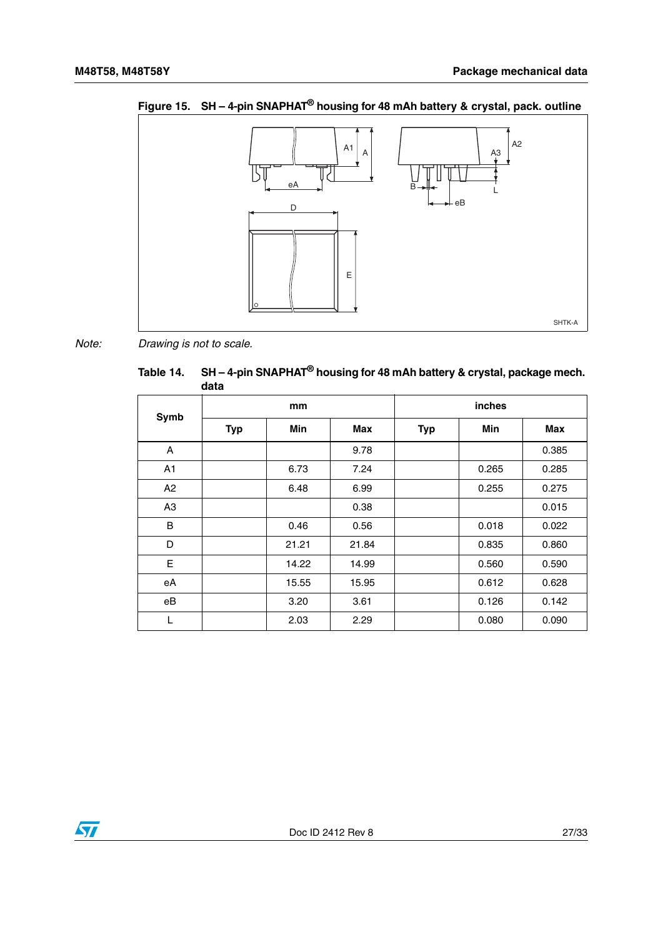![](_page_26_Figure_2.jpeg)

<span id="page-26-1"></span>**Figure 15. SH – 4-pin SNAPHAT® housing for 48 mAh battery & crystal, pack. outline**

*Note: Drawing is not to scale.*

<span id="page-26-0"></span>

| Fable 14. SH - 4-pin SNAPHAT <sup>®</sup> housing for 48 mAh battery & crystal, package mech. |
|-----------------------------------------------------------------------------------------------|
| data                                                                                          |

|                | mm         |       |       | inches     |       |       |
|----------------|------------|-------|-------|------------|-------|-------|
| Symb           | <b>Typ</b> | Min   | Max   | <b>Typ</b> | Min   | Max   |
| A              |            |       | 9.78  |            |       | 0.385 |
| A1             |            | 6.73  | 7.24  |            | 0.265 | 0.285 |
| A2             |            | 6.48  | 6.99  |            | 0.255 | 0.275 |
| A <sub>3</sub> |            |       | 0.38  |            |       | 0.015 |
| B              |            | 0.46  | 0.56  |            | 0.018 | 0.022 |
| D              |            | 21.21 | 21.84 |            | 0.835 | 0.860 |
| E              |            | 14.22 | 14.99 |            | 0.560 | 0.590 |
| eA             |            | 15.55 | 15.95 |            | 0.612 | 0.628 |
| eB             |            | 3.20  | 3.61  |            | 0.126 | 0.142 |
| L              |            | 2.03  | 2.29  |            | 0.080 | 0.090 |

![](_page_26_Picture_7.jpeg)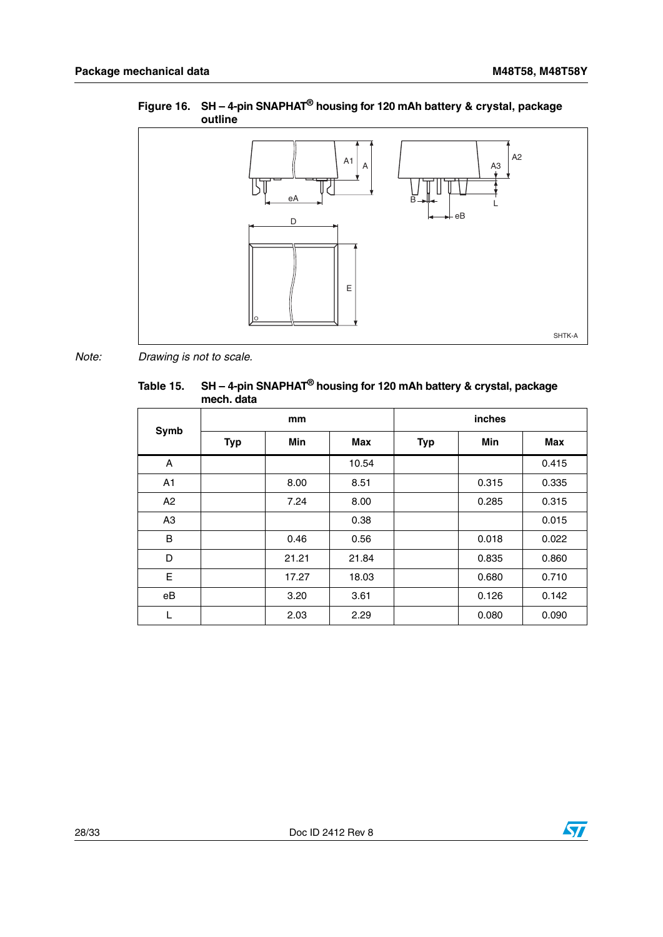![](_page_27_Figure_2.jpeg)

#### <span id="page-27-1"></span>**Figure 16. SH – 4-pin SNAPHAT® housing for 120 mAh battery & crystal, package outline**

*Note: Drawing is not to scale.*

### <span id="page-27-0"></span>**Table 15. SH – 4-pin SNAPHAT® housing for 120 mAh battery & crystal, package mech. data**

|                | mm         |       |       | inches     |            |       |
|----------------|------------|-------|-------|------------|------------|-------|
| Symb           | <b>Typ</b> | Min   | Max   | <b>Typ</b> | <b>Min</b> | Max   |
| A              |            |       | 10.54 |            |            | 0.415 |
| A <sub>1</sub> |            | 8.00  | 8.51  |            | 0.315      | 0.335 |
| A <sub>2</sub> |            | 7.24  | 8.00  |            | 0.285      | 0.315 |
| A <sub>3</sub> |            |       | 0.38  |            |            | 0.015 |
| B              |            | 0.46  | 0.56  |            | 0.018      | 0.022 |
| D              |            | 21.21 | 21.84 |            | 0.835      | 0.860 |
| E              |            | 17.27 | 18.03 |            | 0.680      | 0.710 |
| eB             |            | 3.20  | 3.61  |            | 0.126      | 0.142 |
| L              |            | 2.03  | 2.29  |            | 0.080      | 0.090 |

![](_page_27_Picture_7.jpeg)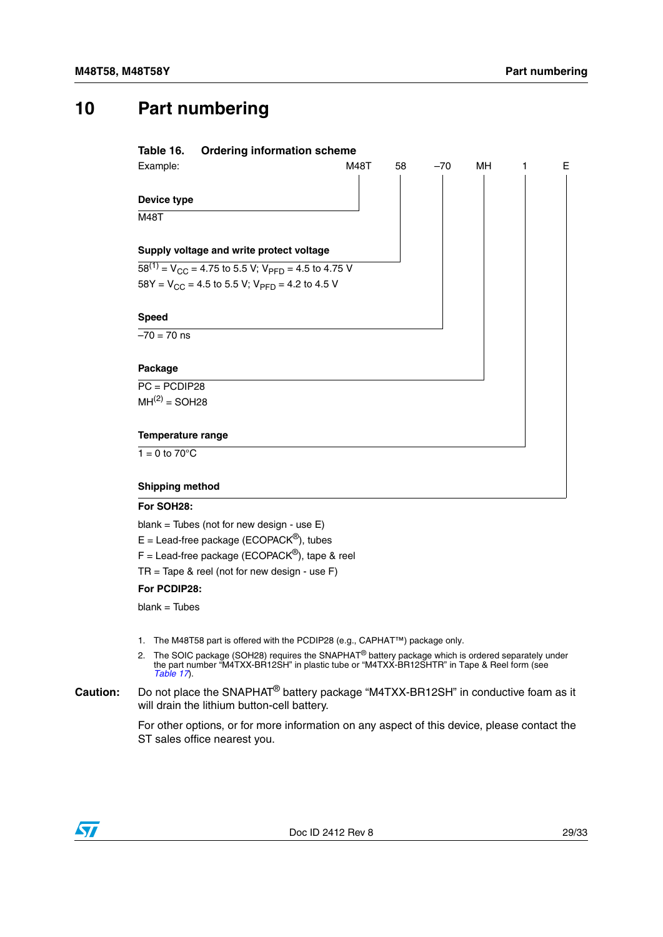## <span id="page-28-0"></span>**10 Part numbering**

<span id="page-28-1"></span>

| Table 16.                 | <b>Ordering information scheme</b>                             |      |    |       |           |   |   |
|---------------------------|----------------------------------------------------------------|------|----|-------|-----------|---|---|
| Example:                  |                                                                | M48T | 58 | $-70$ | <b>MH</b> | 1 | E |
|                           |                                                                |      |    |       |           |   |   |
| Device type               |                                                                |      |    |       |           |   |   |
| <b>M48T</b>               |                                                                |      |    |       |           |   |   |
|                           |                                                                |      |    |       |           |   |   |
|                           | Supply voltage and write protect voltage                       |      |    |       |           |   |   |
|                           | $58^{(1)} = V_{CC} = 4.75$ to 5.5 V; $V_{PFD} = 4.5$ to 4.75 V |      |    |       |           |   |   |
|                           | $58Y = V_{CC} = 4.5$ to 5.5 V; $V_{PFD} = 4.2$ to 4.5 V        |      |    |       |           |   |   |
|                           |                                                                |      |    |       |           |   |   |
| <b>Speed</b>              |                                                                |      |    |       |           |   |   |
| $-70 = 70$ ns             |                                                                |      |    |       |           |   |   |
|                           |                                                                |      |    |       |           |   |   |
| Package                   |                                                                |      |    |       |           |   |   |
| $PC = PCDIP28$            |                                                                |      |    |       |           |   |   |
| $MH(2) = SOL28$           |                                                                |      |    |       |           |   |   |
|                           |                                                                |      |    |       |           |   |   |
| Temperature range         |                                                                |      |    |       |           |   |   |
| $1 = 0$ to $70^{\circ}$ C |                                                                |      |    |       |           |   |   |
|                           |                                                                |      |    |       |           |   |   |
| <b>Shipping method</b>    |                                                                |      |    |       |           |   |   |

#### **For SOH28:**

blank = Tubes (not for new design - use E)

 $E =$  Lead-free package (ECOPACK<sup>®</sup>), tubes

 $F =$  Lead-free package (ECOPACK<sup>®</sup>), tape & reel

 $TR = Tape 8$  reel (not for new design - use  $F$ )

#### **For PCDIP28:**

 $blank = Tubes$ 

- 1. The M48T58 part is offered with the PCDIP28 (e.g., CAPHAT™) package only.
- 2. The SOIC package (SOH28) requires the SNAPHAT<sup>®</sup> battery package which is ordered separately under the part number "M4TXX-BR12SH" in plastic tube or "M4TXX-BR12SHTR" in Tape & Reel form (see *[Table 17](#page-29-0)*).
- **Caution:** Do not place the SNAPHAT® battery package "M4TXX-BR12SH" in conductive foam as it will drain the lithium button-cell battery.

For other options, or for more information on any aspect of this device, please contact the ST sales office nearest you.

![](_page_28_Picture_15.jpeg)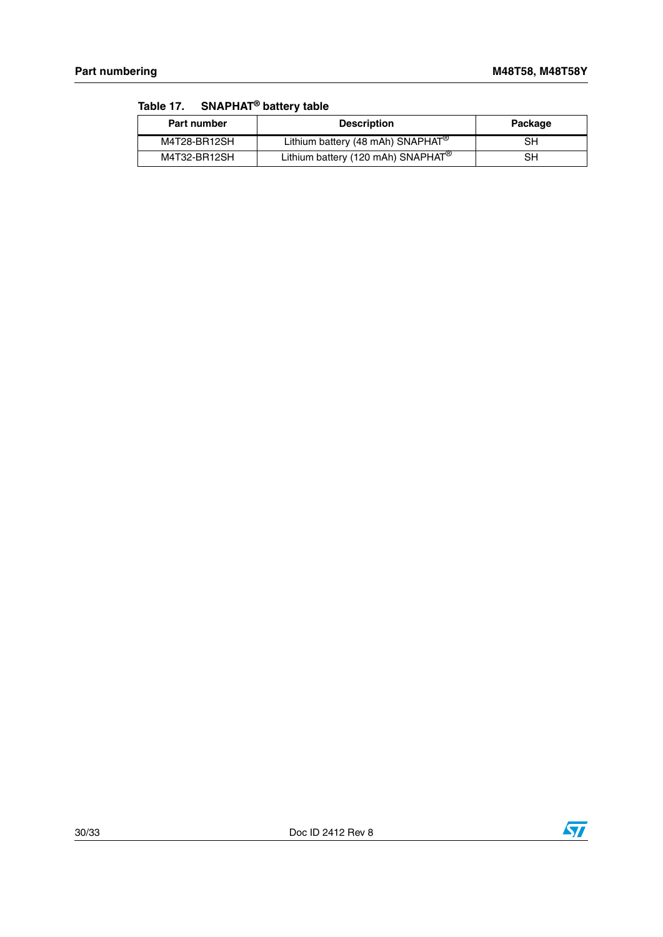| <b>Part number</b> | <b>Description</b>                             | Package |
|--------------------|------------------------------------------------|---------|
| M4T28-BR12SH       | Lithium battery (48 mAh) SNAPHAT <sup>®</sup>  | SН      |
| M4T32-BR12SH       | Lithium battery (120 mAh) SNAPHAT <sup>®</sup> | SН      |

<span id="page-29-0"></span>**Table 17. SNAPHAT® battery table**

![](_page_29_Picture_6.jpeg)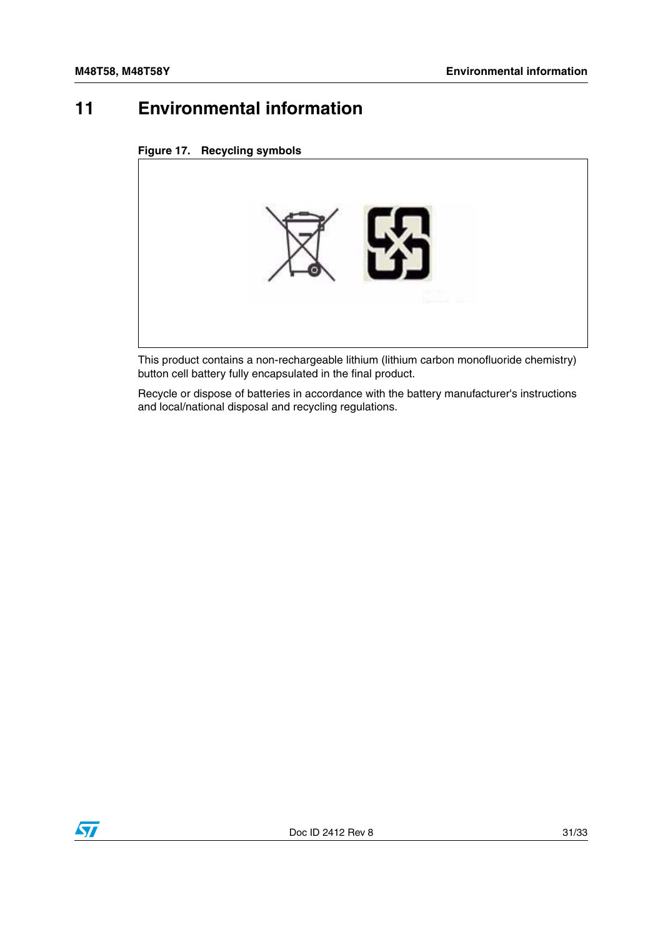## <span id="page-30-0"></span>**11 Environmental information**

<span id="page-30-1"></span>

![](_page_30_Picture_4.jpeg)

This product contains a non-rechargeable lithium (lithium carbon monofluoride chemistry) button cell battery fully encapsulated in the final product.

Recycle or dispose of batteries in accordance with the battery manufacturer's instructions and local/national disposal and recycling regulations.

![](_page_30_Picture_7.jpeg)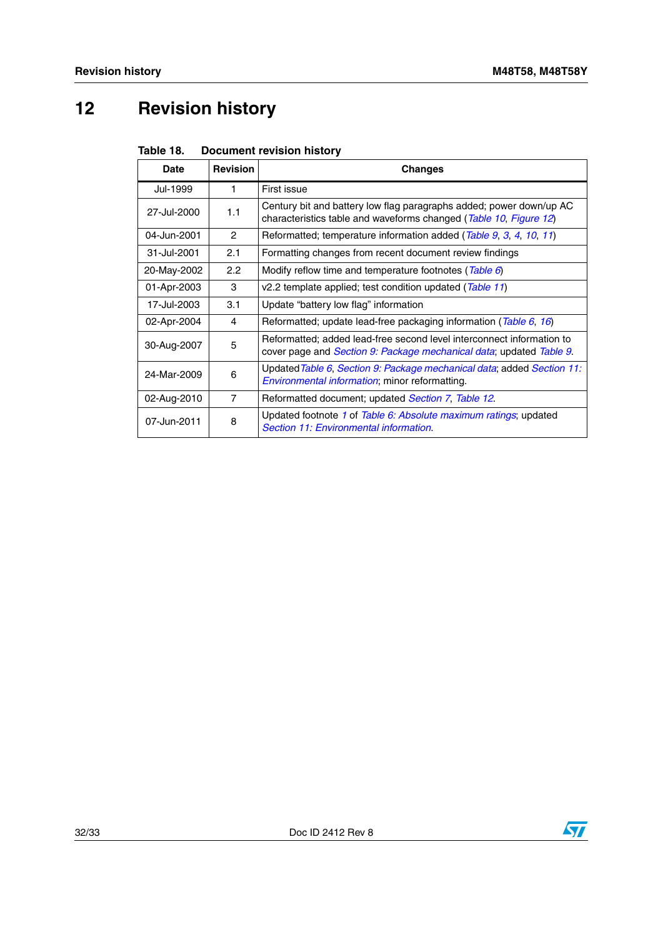# <span id="page-31-0"></span>**12 Revision history**

<span id="page-31-1"></span>

|  | Table 18. | <b>Document revision history</b> |  |  |
|--|-----------|----------------------------------|--|--|
|--|-----------|----------------------------------|--|--|

| Date        | <b>Revision</b> | <b>Changes</b>                                                                                                                               |
|-------------|-----------------|----------------------------------------------------------------------------------------------------------------------------------------------|
| Jul-1999    | 1.              | First issue                                                                                                                                  |
| 27-Jul-2000 | 1.1             | Century bit and battery low flag paragraphs added; power down/up AC<br>characteristics table and waveforms changed (Table 10, Figure 12)     |
| 04-Jun-2001 | $\mathcal{P}$   | Reformatted; temperature information added (Table 9, 3, 4, 10, 11)                                                                           |
| 31-Jul-2001 | 2.1             | Formatting changes from recent document review findings                                                                                      |
| 20-May-2002 | 2.2             | Modify reflow time and temperature footnotes (Table 6)                                                                                       |
| 01-Apr-2003 | 3               | v2.2 template applied; test condition updated (Table 11)                                                                                     |
| 17-Jul-2003 | 3.1             | Update "battery low flag" information                                                                                                        |
| 02-Apr-2004 | 4               | Reformatted; update lead-free packaging information (Table 6, 16)                                                                            |
| 30-Aug-2007 | 5               | Reformatted; added lead-free second level interconnect information to<br>cover page and Section 9: Package mechanical data; updated Table 9. |
| 24-Mar-2009 | 6               | Updated Table 6, Section 9: Package mechanical data; added Section 11:<br><i>Environmental information</i> ; minor reformatting.             |
| 02-Aug-2010 | $\overline{7}$  | Reformatted document; updated Section 7, Table 12.                                                                                           |
| 07-Jun-2011 | 8               | Updated footnote 1 of Table 6: Absolute maximum ratings; updated<br>Section 11: Environmental information.                                   |

![](_page_31_Picture_7.jpeg)